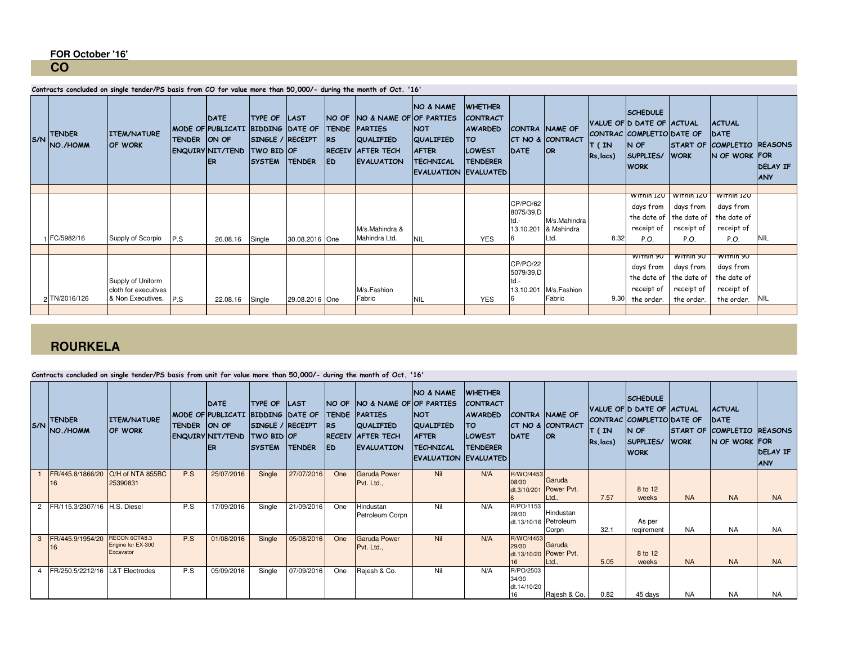#### **CO**

| S/N | <b>TENDER</b><br><b>NO./HOMM</b> | <b>ITEM/NATURE</b><br><b>OF WORK</b>                           | TENDER ON OF | DATE<br>MODE OF PUBLICATI<br><b>ENQUIRY NIT/TEND</b><br>ER | <b>TYPE OF</b><br><b>BIDDING DATE OF</b><br><b>SINGLE / RECEIPT</b><br><b>TWO BID OF</b><br><b>SYSTEM</b> | <b>ILAST</b><br><b>TENDER</b> | <b>RS</b><br><b>IED</b> | NO OF NO & NAME OF OF PARTIES<br>TENDE PARTIES<br><b>QUALIFIED</b><br><b>RECEIV AFTER TECH</b><br><b>EVALUATION</b> | <b>NO &amp; NAME</b><br><b>NOT</b><br><b>QUALIFIED</b><br><b>AFTER</b><br><b>TECHNICAL</b><br><b>EVALUATION EVALUATED</b> | <b>WHETHER</b><br><b>CONTRACT</b><br><b>AWARDED</b><br>TO.<br><b>LOWEST</b><br><b>TENDERER</b> | <b>DATE</b>                                | CONTRA NAME OF<br>CT NO & CONTRACT<br><b>OR</b> | $ T $ ( IN<br>Rs, lacs) | <b>SCHEDULE</b><br>VALUE OF D DATE OF ACTUAL<br>CONTRAC COMPLETIO DATE OF<br>N OF<br>SUPPLIES/<br><b>WORK</b> | <b>START OF</b><br><b>WORK</b>                      | <b>ACTUAL</b><br><b>DATE</b><br><b>COMPLETIO REASONS</b><br>N OF WORK FOR | <b>DELAY IF</b><br><b>ANY</b> |
|-----|----------------------------------|----------------------------------------------------------------|--------------|------------------------------------------------------------|-----------------------------------------------------------------------------------------------------------|-------------------------------|-------------------------|---------------------------------------------------------------------------------------------------------------------|---------------------------------------------------------------------------------------------------------------------------|------------------------------------------------------------------------------------------------|--------------------------------------------|-------------------------------------------------|-------------------------|---------------------------------------------------------------------------------------------------------------|-----------------------------------------------------|---------------------------------------------------------------------------|-------------------------------|
|     |                                  |                                                                |              |                                                            |                                                                                                           |                               |                         |                                                                                                                     |                                                                                                                           |                                                                                                |                                            |                                                 |                         |                                                                                                               | <b>WITNIN IZU</b>                                   |                                                                           |                               |
|     | FC/5982/16                       | Supply of Scorpio                                              | P.S          | 26.08.16                                                   | Single                                                                                                    | 30.08.2016 One                |                         | M/s.Mahindra &<br>Mahindra Ltd.                                                                                     | NIL                                                                                                                       | <b>YES</b>                                                                                     | CP/PO/62<br>8075/39,D<br>td.-<br>13.10.201 | M/s.Mahindra<br>& Mahindra<br>Ltd.              | 8.32                    | WITNIN IZU<br>days from<br>the date of<br>receipt of<br>P.O.                                                  | days from<br>the date of<br>receipt of<br>P.O.      | WITNIN IZU<br>days from<br>the date of<br>receipt of<br>P.O.              | <b>NIL</b>                    |
|     |                                  |                                                                |              |                                                            |                                                                                                           |                               |                         |                                                                                                                     |                                                                                                                           |                                                                                                |                                            |                                                 |                         |                                                                                                               |                                                     |                                                                           |                               |
|     | 2 TN/2016/126                    | Supply of Uniform<br>cloth for execuitves<br>& Non Executives. | P.S          | 22.08.16                                                   | Single                                                                                                    | 29.08.2016 One                |                         | M/s.Fashion<br>Fabric                                                                                               | <b>NIL</b>                                                                                                                | <b>YES</b>                                                                                     | <b>CP/PO/22</b><br>5079/39,D<br>$td -$     | 13.10.201 M/s. Fashion<br>Fabric                | 9.30                    | <b>WITNIN YU</b><br>days from<br>the date of the date of<br>receipt of<br>the order.                          | VVITNIN YU<br>days from<br>receipt of<br>the order. | <b>WITNIN YU</b><br>days from<br>the date of<br>receipt of<br>the order.  | <b>NIL</b>                    |
|     |                                  |                                                                |              |                                                            |                                                                                                           |                               |                         |                                                                                                                     |                                                                                                                           |                                                                                                |                                            |                                                 |                         |                                                                                                               |                                                     |                                                                           |                               |

**Contracts concluded on single tender/PS basis from CO for value more than 50,000/- during the month of Oct. '16'**

## **ROURKELA**

| S/N | <b>TENDER</b><br>NO./HOMM          | <b>ITEM/NATURE</b><br><b>OF WORK</b>            | TENDER ON OF | DATE<br><b>MODE OF PUBLICATI</b><br><b>ENQUIRY NIT/TEND</b><br><b>IER</b> | <b>TYPE OF</b><br><b>BIDDING DATE OF</b><br>SINGLE / RECEIPT<br><b>TWO BID OF</b><br><b>SYSTEM</b> | <b>LAST</b><br><b>TENDER</b> | <b>TENDE</b><br><b>RS</b><br><b>IED</b> | NO OF NO & NAME OF OF PARTIES<br><b>PARTIES</b><br><b>QUALIFIED</b><br><b>RECEIV AFTER TECH</b><br><b>EVALUATION</b> | <b>NO &amp; NAME</b><br><b>NOT</b><br><b>QUALIFIED</b><br><b>AFTER</b><br><b>TECHNICAL</b><br><b>EVALUATION EVALUATED</b> | <b>WHETHER</b><br><b>CONTRACT</b><br><b>AWARDED</b><br><b>TO</b><br><b>LOWEST</b><br><b>TENDERER</b> | <b>DATE</b>                       | <b>CONTRA INAME OF</b><br>CT NO & CONTRACT<br><b>OR</b> | T(N)<br>Rs, lacs) | <b>SCHEDULE</b><br>VALUE OFID DATE OF ACTUAL<br>CONTRAC COMPLETIO DATE OF<br>IN OF<br>SUPPLIES/<br><b>WORK</b> | <b>START OF</b><br><b>WORK</b> | <b>ACTUAL</b><br><b>DATE</b><br>COMPLETIO REASONS<br>IN OF WORK FOR | <b>DELAY IF</b><br><b>ANY</b> |
|-----|------------------------------------|-------------------------------------------------|--------------|---------------------------------------------------------------------------|----------------------------------------------------------------------------------------------------|------------------------------|-----------------------------------------|----------------------------------------------------------------------------------------------------------------------|---------------------------------------------------------------------------------------------------------------------------|------------------------------------------------------------------------------------------------------|-----------------------------------|---------------------------------------------------------|-------------------|----------------------------------------------------------------------------------------------------------------|--------------------------------|---------------------------------------------------------------------|-------------------------------|
|     | FR/445.8/1866/20<br>16             | O/H of NTA 855BC<br>25390831                    | P.S          | 25/07/2016                                                                | Single                                                                                             | 27/07/2016                   | One                                     | <b>Garuda Power</b><br>Pvt. Ltd.,                                                                                    | Nil                                                                                                                       | N/A                                                                                                  | R/WO/4453<br>08/30<br>dt.3/10/201 | Garuda<br>Power Pvt.<br>Ltd.,                           | 7.57              | 8 to 12<br>weeks                                                                                               | <b>NA</b>                      | <b>NA</b>                                                           | <b>NA</b>                     |
|     | 2   FR/115.3/2307/16   H.S. Diesel |                                                 | P.S          | 17/09/2016                                                                | Single                                                                                             | 21/09/2016                   | One                                     | Hindustan<br>Petroleum Corpn                                                                                         | Nil                                                                                                                       | N/A                                                                                                  | R/PO/1153<br>28/30                | Hindustan<br>dt.13/10/16 Petroleum<br>Corpn             | 32.1              | As per<br>regirement                                                                                           | <b>NA</b>                      | <b>NA</b>                                                           | <b>NA</b>                     |
|     | 3 FR/445.9/1954/20<br>16           | RECON 6CTA8.3<br>Engine for EX-300<br>Excavator | P.S          | 01/08/2016                                                                | Single                                                                                             | 05/08/2016                   | One                                     | <b>Garuda Power</b><br>Pvt. Ltd.,                                                                                    | Nil                                                                                                                       | N/A                                                                                                  | R/WO/4453<br>29/30<br>16          | Garuda<br>dt.13/10/20 Power Pvt.<br>Ltd.                | 5.05              | 8 to 12<br>weeks                                                                                               | <b>NA</b>                      | <b>NA</b>                                                           | <b>NA</b>                     |
|     | FR/250.5/2212/16                   | <b>L&amp;T</b> Electrodes                       | P.S          | 05/09/2016                                                                | Single                                                                                             | 07/09/2016                   | One                                     | Rajesh & Co.                                                                                                         | Nil                                                                                                                       | N/A                                                                                                  | R/PO/2503<br>34/30<br>dt.14/10/20 | Rajesh & Co.                                            | 0.82              | 45 days                                                                                                        | <b>NA</b>                      | <b>NA</b>                                                           | <b>NA</b>                     |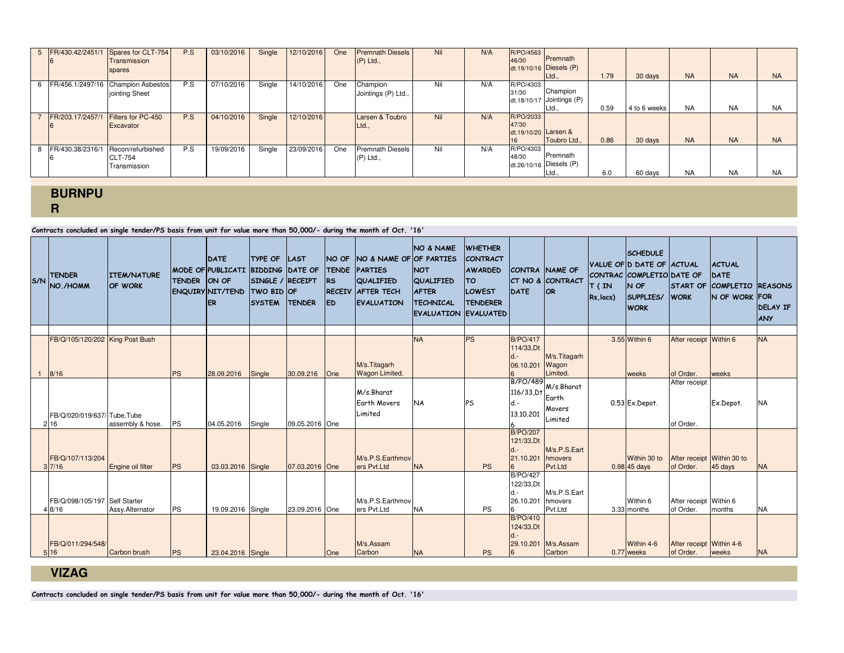| $\overline{a}$     | 5 FR/430.42/2451/1 Spares for CLT-754<br>Transmission  | P.S | 03/10/2016 | Single | 12/10/2016 | One | <b>Premnath Diesels</b><br>$(P)$ Ltd., | Nil | N/A | R/PO/4563<br>46/30                         | Premnath                                  |      |              |           |           |           |
|--------------------|--------------------------------------------------------|-----|------------|--------|------------|-----|----------------------------------------|-----|-----|--------------------------------------------|-------------------------------------------|------|--------------|-----------|-----------|-----------|
|                    | spares                                                 |     |            |        |            |     |                                        |     |     |                                            | $dt.19/10/16$ Diesels $(P)$<br>Lta.       | 1.79 | 30 days      | <b>NA</b> | <b>NA</b> | <b>NA</b> |
|                    | 6 FR/456.1/2497/16 Champion Asbestos<br>jointing Sheet | P.S | 07/10/2016 | Single | 14/10/2016 | One | Champion<br>Jointings (P) Ltd.,        | Nil | N/A | R/PO/4303<br>31/30                         | Champion<br>$dt.18/10/17$ Jointings $(P)$ |      |              |           |           |           |
|                    |                                                        |     |            |        |            |     |                                        |     |     |                                            |                                           | 0.59 | 4 to 6 weeks | <b>NA</b> | <b>NA</b> | <b>NA</b> |
| FR/203.17/2457/1   | Filters for PC-450<br>Excavator                        | P.S | 04/10/2016 | Single | 12/10/2016 |     | Larsen & Toubro<br>Ltd.,               | Nil | N/A | R/PO/2033<br>47/30<br>dt.19/10/20 Larsen & |                                           |      |              |           |           |           |
|                    |                                                        |     |            |        |            |     |                                        |     |     |                                            | Toubro Ltd.,                              | 0.86 | 30 days      | <b>NA</b> | <b>NA</b> | <b>NA</b> |
| 8 FR/430.38/2316/1 | Recon/refurbished<br><b>CLT-754</b><br>Transmission    | P.S | 19/09/2016 | Single | 23/09/2016 | One | <b>Premnath Diesels</b><br>(P) Ltd.,   | Nil | N/A | R/PO/4303<br>48/30                         | Premnath<br>dt.26/10/16 Diesels (P)       |      |              |           |           |           |
|                    |                                                        |     |            |        |            |     |                                        |     |     |                                            |                                           | 6.0  | 60 days      | <b>NA</b> | <b>NA</b> | <b>NA</b> |

# **BURNPU**

**R**

**Contracts concluded on single tender/PS basis from unit for value more than 50,000/- during the month of Oct. '16'**

| S/N          | <b>TENDER</b><br><b>NO./HOMM</b>       | <b>ITEM/NATURE</b><br><b>OF WORK</b> | <b>TENDER ON OF</b> | <b>DATE</b><br>MODE OF PUBLICATI BIDDING DATE OF<br><b>ENQUIRY NIT/TEND</b><br><b>ER</b> | <b>TYPE OF</b><br><b>SINGLE / RECEIPT</b><br><b>TWO BID OF</b><br><b>SYSTEM</b> | <b>LAST</b><br><b>TENDER</b> | <b>TENDE</b><br><b>RS</b><br><b>IED</b> | NO OF NO & NAME OF OF PARTIES<br><b>PARTIES</b><br><b>QUALIFIED</b><br><b>RECEIV AFTER TECH</b><br><b>EVALUATION</b> | <b>NO &amp; NAME</b><br><b>NOT</b><br><b>QUALIFIED</b><br><b>AFTER</b><br><b>TECHNICAL</b><br><b>EVALUATION EVALUATED</b> | <b>WHETHER</b><br><b>CONTRACT</b><br><b>AWARDED</b><br><b>TO</b><br><b>LOWEST</b><br><b>TENDERER</b> | <b>DATE</b>                                               | CONTRA NAME OF<br>CT NO & CONTRACT<br><b>OR</b> | T(N)<br>Rs, lacs) | <b>SCHEDULE</b><br>VALUE OF D DATE OF ACTUAL<br>CONTRAC COMPLETIO DATE OF<br>IN OF<br>SUPPLIES/<br><b>WORK</b> | <b>WORK</b>                             | <b>ACTUAL</b><br><b>DATE</b><br><b>START OF COMPLETIO REASONS</b><br>IN OF WORK FOR | <b>DELAY IF</b><br><b>ANY</b> |
|--------------|----------------------------------------|--------------------------------------|---------------------|------------------------------------------------------------------------------------------|---------------------------------------------------------------------------------|------------------------------|-----------------------------------------|----------------------------------------------------------------------------------------------------------------------|---------------------------------------------------------------------------------------------------------------------------|------------------------------------------------------------------------------------------------------|-----------------------------------------------------------|-------------------------------------------------|-------------------|----------------------------------------------------------------------------------------------------------------|-----------------------------------------|-------------------------------------------------------------------------------------|-------------------------------|
|              | FB/Q/105/120/202 King Post Bush        |                                      |                     |                                                                                          |                                                                                 |                              |                                         |                                                                                                                      | <b>NA</b>                                                                                                                 | <b>PS</b>                                                                                            | <b>B/PO/417</b>                                           |                                                 |                   | 3.55 Within 6                                                                                                  | After receipt Within 6                  |                                                                                     | <b>NA</b>                     |
|              |                                        |                                      |                     |                                                                                          |                                                                                 |                              |                                         |                                                                                                                      |                                                                                                                           |                                                                                                      | 114/33, Dt                                                |                                                 |                   |                                                                                                                |                                         |                                                                                     |                               |
|              |                                        |                                      |                     |                                                                                          |                                                                                 |                              |                                         | M/s. Titagarh                                                                                                        |                                                                                                                           |                                                                                                      | $d -$<br>06.10.201                                        | M/s. Titagarh<br>Wagon                          |                   |                                                                                                                |                                         |                                                                                     |                               |
| $\mathbf{1}$ | 8/16                                   |                                      | <b>PS</b>           | 28.09.2016                                                                               | Single                                                                          | 30.09.216                    | <b>One</b>                              | <b>Wagon Limited.</b>                                                                                                |                                                                                                                           |                                                                                                      |                                                           | Limited.                                        |                   | weeks                                                                                                          | of Order.                               | weeks                                                                               |                               |
|              | FB/Q/020/019/637/ Tube, Tube           |                                      |                     |                                                                                          |                                                                                 |                              |                                         | M/s Bharat<br>Farth Movers<br>Limited                                                                                | <b>NA</b>                                                                                                                 | <b>PS</b>                                                                                            | B/PO/489<br>116/33.Dt<br>d.-<br>13.10.201                 | M/s.Bharat<br>Earth<br>Movers                   |                   | 0.53 Ex.Depot.                                                                                                 | After receipt                           | Ex.Depot.                                                                           | <b>NA</b>                     |
|              | 2 16                                   | assembly & hose.                     | PS                  | 04.05.2016                                                                               | Single                                                                          | 09.05.2016 One               |                                         |                                                                                                                      |                                                                                                                           |                                                                                                      |                                                           | Limited                                         |                   |                                                                                                                | of Order.                               |                                                                                     |                               |
|              | FB/Q/107/113/204<br>3 7/16             | Engine oil filter                    | <b>PS</b>           | 03.03.2016 Single                                                                        |                                                                                 | 07.03.2016 One               |                                         | M/s.P.S.Earthmov<br>ers Pvt.Ltd                                                                                      | <b>NA</b>                                                                                                                 | <b>PS</b>                                                                                            | <b>B/PO/207</b><br>121/33, Dt<br>$d -$<br>21.10.201       | M/s.P.S.Eart<br>hmovers<br>Pvt.Ltd              |                   | Within 30 to<br>0.98 45 days                                                                                   | After receipt Within 30 to<br>of Order. | 45 days                                                                             | <b>NA</b>                     |
|              | FB/Q/098/105/197 Self Starter<br>48/16 | Assy.Alternator                      | PS                  | 19.09.2016 Single                                                                        |                                                                                 | 23.09.2016 One               |                                         | M/s.P.S.Earthmov<br>ers Pvt.Ltd                                                                                      | <b>NA</b>                                                                                                                 | <b>PS</b>                                                                                            | <b>B/PO/427</b><br>122/33, Dt<br>d.-<br>26.10.201 hmovers | M/s.P.S.Eart<br>Pvt.Ltd                         |                   | Within 6<br>3.33 months                                                                                        | After receipt Within 6<br>of Order.     | months                                                                              | <b>NA</b>                     |
|              | FB/Q/011/294/548/<br>516               | <b>Carbon brush</b>                  | <b>PS</b>           | 23.04.2016 Single                                                                        |                                                                                 |                              | One                                     | M/s.Assam<br>Carbon                                                                                                  | <b>NA</b>                                                                                                                 | <b>PS</b>                                                                                            | <b>B/PO/410</b><br>124/33, Dt<br>$d -$                    | 29.10.201 M/s.Assam<br>Carbon                   |                   | Within 4-6<br>0.77 weeks                                                                                       | After receipt Within 4-6<br>of Order.   | weeks                                                                               | <b>NA</b>                     |

#### **VIZAG**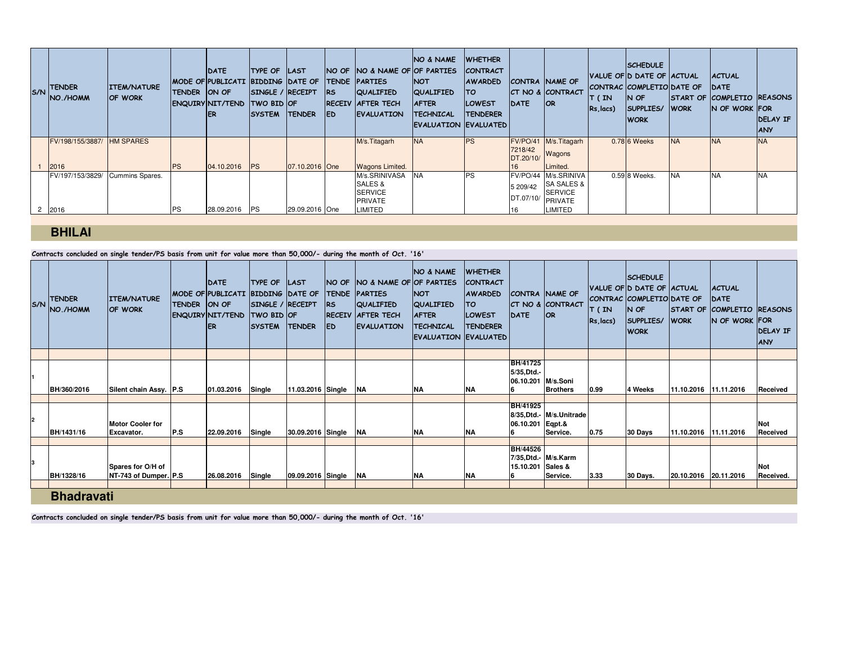| S/N | <b>TENDER</b><br>INO./HOMM | <b>ITEM/NATURE</b><br><b>OF WORK</b> | TENDER ON OF | <b>IDATE</b><br>MODE OF PUBLICATI BIDDING DATE OF<br><b>ENQUIRY NIT/TEND TWO BID OF</b><br><b>ER</b> | <b>TYPE OF</b><br><b>SINGLE / RECEIPT</b><br><b>SYSTEM TENDER</b> | <b>ILAST</b>   | <b>IRS</b><br><b>IED</b> | NO OF INO & NAME OF OF PARTIES<br><b>TENDE PARTIES</b><br><b>QUALIFIED</b><br><b>RECEIV AFTER TECH</b><br><b>IEVALUATION</b> | <b>NO &amp; NAME</b><br><b>NOT</b><br><b>QUALIFIED</b><br><b>AFTER</b><br><b>TECHNICAL</b><br><b>IEVALUATION IEVALUATED</b> | <b>WHETHER</b><br><b>CONTRACT</b><br><b>AWARDED</b><br>ITO.<br><b>LOWEST</b><br><b>TENDERER</b> | <b>DATE</b>                                   | CONTRA NAME OF<br><b>CT NO &amp; CONTRACT</b><br> OR                         | T(N)<br>Rs, lacs) | <b>SCHEDULE</b><br>VALUE OF D DATE OF ACTUAL<br>CONTRAC COMPLETIO DATE OF<br>N OF<br>SUPPLIES/<br><b>WORK</b> | <b>WORK</b> | <b>ACTUAL</b><br><b>IDATE</b><br><b>START OF COMPLETIO REASONS</b><br>IN OF WORK FOR | <b>DELAY IF</b><br><b>ANY</b> |
|-----|----------------------------|--------------------------------------|--------------|------------------------------------------------------------------------------------------------------|-------------------------------------------------------------------|----------------|--------------------------|------------------------------------------------------------------------------------------------------------------------------|-----------------------------------------------------------------------------------------------------------------------------|-------------------------------------------------------------------------------------------------|-----------------------------------------------|------------------------------------------------------------------------------|-------------------|---------------------------------------------------------------------------------------------------------------|-------------|--------------------------------------------------------------------------------------|-------------------------------|
|     | FV/198/155/3887/<br>2016   | <b>HM SPARES</b>                     | <b>PS</b>    | 04.10.2016 PS                                                                                        |                                                                   | 07.10.2016 One |                          | M/s. Titagarh<br><b>Wagons Limited.</b>                                                                                      | <b>NA</b>                                                                                                                   | <b>PS</b>                                                                                       | <b>FV/PO/41</b><br>7218/42<br>DT.20/10/<br>16 | M/s. Titagarh<br>Wagons<br>Limited.                                          |                   | $0.786$ Weeks                                                                                                 |             | <b>NA</b>                                                                            | <b>INA</b>                    |
|     | FV/197/153/3829/<br>2 2016 | Cummins Spares.                      | PS           | 28.09.2016 PS                                                                                        |                                                                   | 29.09.2016 One |                          | M/s.SRINIVASA<br>SALES &<br><b>SERVICE</b><br><b>PRIVATE</b><br>LIMITED                                                      | <b>NA</b>                                                                                                                   | PS                                                                                              | <b>FV/PO/44</b><br>5 209/42<br>DT.07/10/      | M/s.SRINIVA<br><b>SA SALES &amp;</b><br><b>SERVICE</b><br>PRIVATE<br>LIMITED |                   | 0.59 8 Weeks.                                                                                                 |             | <b>NA</b>                                                                            | <b>NA</b>                     |

#### **BHILAI**

**Contracts concluded on single tender/PS basis from unit for value more than 50,000/- during the month of Oct. '16'**

|                | S/N | <b>TENDER</b><br>NO./HOMM | <b>ITEM/NATURE</b><br><b>OF WORK</b>       | TENDER ON OF | DATE<br><b>MODE OF PUBLICATI</b><br><b>ENQUIRY NIT/TEND</b><br><b>ER</b> | <b>TYPE OF</b><br><b>BIDDING DATE OF</b><br><b>SINGLE / RECEIPT</b><br><b>TWO BID OF</b><br><b>SYSTEM</b> | <b>LAST</b><br><b>TENDER</b> | <b>TENDE</b><br><b>RS</b><br><b>RECEIV</b><br><b>IED</b> | NO OF NO & NAME OF OF PARTIES<br><b>PARTIES</b><br><b>QUALIFIED</b><br><b>AFTER TECH</b><br><b>EVALUATION</b> | <b>NO &amp; NAME</b><br><b>NOT</b><br><b>QUALIFIED</b><br><b>AFTER</b><br><b>TECHNICAL</b><br><b>EVALUATION EVALUATED</b> | <b>WHETHER</b><br>CONTRACT<br><b>AWARDED</b><br><b>TO</b><br><b>LOWEST</b><br><b>TENDERER</b> | DATE                                                          | CONTRA NAME OF<br>CT NO & CONTRACT<br> OR | T(N)<br>Rs, lacs) | <b>SCHEDULE</b><br>VALUE OF D DATE OF ACTUAL<br>CONTRAC COMPLETIO DATE OF<br>IN OF<br>SUPPLIES/<br><b>WORK</b> | <b>WORK</b>           | <b>ACTUAL</b><br>DATE<br>START OF COMPLETIO REASONS<br>N OF WORK FOR | <b>DELAY IF</b><br><b>ANY</b> |
|----------------|-----|---------------------------|--------------------------------------------|--------------|--------------------------------------------------------------------------|-----------------------------------------------------------------------------------------------------------|------------------------------|----------------------------------------------------------|---------------------------------------------------------------------------------------------------------------|---------------------------------------------------------------------------------------------------------------------------|-----------------------------------------------------------------------------------------------|---------------------------------------------------------------|-------------------------------------------|-------------------|----------------------------------------------------------------------------------------------------------------|-----------------------|----------------------------------------------------------------------|-------------------------------|
|                |     |                           |                                            |              |                                                                          |                                                                                                           |                              |                                                          |                                                                                                               |                                                                                                                           |                                                                                               |                                                               |                                           |                   |                                                                                                                |                       |                                                                      |                               |
|                |     | BH/360/2016               | Silent chain Assy. P.S.                    |              | 01.03.2016                                                               | Single                                                                                                    | 11.03.2016 Single            |                                                          | <b>NA</b>                                                                                                     | <b>NA</b>                                                                                                                 | <b>NA</b>                                                                                     | BH/41725<br>5/35, Dtd.-<br>06.10.201 M/s.Soni                 | <b>Brothers</b>                           | 0.99              | 4 Weeks                                                                                                        | 11.10.2016 11.11.2016 |                                                                      | Received                      |
|                |     |                           |                                            |              |                                                                          |                                                                                                           |                              |                                                          |                                                                                                               |                                                                                                                           |                                                                                               |                                                               |                                           |                   |                                                                                                                |                       |                                                                      |                               |
| $\overline{2}$ |     | BH/1431/16                | <b>Motor Cooler for</b><br>Excavator.      | P.S          | 22.09.2016                                                               | Single                                                                                                    | 30.09.2016 Single NA         |                                                          |                                                                                                               | <b>NA</b>                                                                                                                 | <b>NA</b>                                                                                     | BH/41925<br>06.10.201 Eqpt.&                                  | 8/35, Dtd.- M/s. Unitrade<br>Service.     | 0.75              | 30 Days                                                                                                        | 11.10.2016 11.11.2016 |                                                                      | <b>Not</b><br>Received        |
|                |     |                           |                                            |              |                                                                          |                                                                                                           |                              |                                                          |                                                                                                               |                                                                                                                           |                                                                                               |                                                               |                                           |                   |                                                                                                                |                       |                                                                      |                               |
| 3              |     | BH/1328/16                | Spares for O/H of<br>NT-743 of Dumper. P.S |              | 26.08.2016                                                               | Single                                                                                                    | 09.09.2016 Single            |                                                          | <b>INA</b>                                                                                                    | <b>NA</b>                                                                                                                 | <b>NA</b>                                                                                     | <b>BH/44526</b><br>7/35, Dtd.- M/s. Karm<br>15.10.201 Sales & | Service.                                  | 3.33              | 30 Days.                                                                                                       | 20.10.2016 20.11.2016 |                                                                      | <b>Not</b><br>Received.       |
|                |     | <b>Bhadravati</b>         |                                            |              |                                                                          |                                                                                                           |                              |                                                          |                                                                                                               |                                                                                                                           |                                                                                               |                                                               |                                           |                   |                                                                                                                |                       |                                                                      |                               |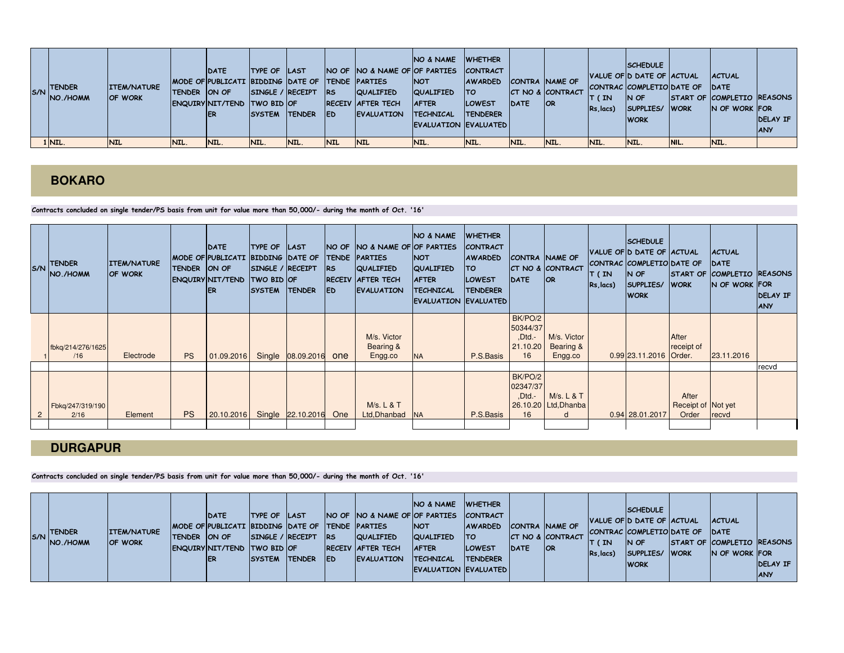| S/N | <b>TENDER</b><br>INO./HOMM | <b>ITEM/NATURE</b><br><b>OF WORK</b> | <b>TENDER ON OF</b> | <b>IDATE</b><br>MODE OF PUBLICATI BIDDING DATE OF<br><b>ENQUIRY NIT/TEND TWO BID OF</b><br>IER | <b>ITYPE OF LAST</b><br><b>SINGLE / RECEIPT</b><br><b>ISYSTEM</b> | <b>TENDER</b> | <b>IRS</b><br><b>IED</b> | NO OF INO & NAME OF OF PARTIES<br><b>TENDE PARTIES</b><br><b>QUALIFIED</b><br><b>RECEIV AFTER TECH</b><br><b>IEVALUATION</b> | <b>NO &amp; NAME</b><br><b>NOT</b><br><b>QUALIFIED</b><br><b>AFTER</b><br><b>TECHNICAL</b><br><b>EVALUATION EVALUATED</b> | <b>WHETHER</b><br><b>CONTRACT</b><br><b>AWARDED</b><br><b>ITO</b><br><b>LOWEST</b><br><b>TENDERER</b> | <b>DATE</b> | <b>CONTRA INAME OF</b><br>ICT NO & CONTRACT<br> OR | T ( IN<br>Rs, lacs) | <b>SCHEDULE</b><br>VALUE OF D DATE OF ACTUAL<br>CONTRAC COMPLETIO DATE OF<br>N OF<br><b>SUPPLIES/</b><br><b>WORK</b> | <b>WORK</b> | <b>ACTUAL</b><br><b>IDATE</b><br>START OF COMPLETIO REASONS<br>IN OF WORK FOR | <b>DELAY IF</b><br><b>ANY</b> |
|-----|----------------------------|--------------------------------------|---------------------|------------------------------------------------------------------------------------------------|-------------------------------------------------------------------|---------------|--------------------------|------------------------------------------------------------------------------------------------------------------------------|---------------------------------------------------------------------------------------------------------------------------|-------------------------------------------------------------------------------------------------------|-------------|----------------------------------------------------|---------------------|----------------------------------------------------------------------------------------------------------------------|-------------|-------------------------------------------------------------------------------|-------------------------------|
|     | INIL.                      | <b>NIL</b>                           | NIL.                | NIL.                                                                                           | INIL.                                                             | NIL.          | <b>NIL</b>               | <b>NIL</b>                                                                                                                   | NIL.                                                                                                                      | NIL.                                                                                                  | NIL.        | NIL.                                               | NIL.                | NIL.                                                                                                                 | INIL.       | NIL.                                                                          |                               |

## **BOKARO**

**Contracts concluded on single tender/PS basis from unit for value more than 50,000/- during the month of Oct. '16'**

| S/N            | <b>TENDER</b><br>INO./HOMM | <b>ITEM/NATURE</b><br><b>OF WORK</b> | TENDER ON OF | DATE<br>MODE OF PUBLICATI<br><b>ENQUIRY NIT/TEND</b><br><b>ER</b> | <b>TYPE OF LAST</b><br><b>BIDDING DATE OF</b><br><b>SINGLE / RECEIPT</b><br><b>TWO BID OF</b><br><b>SYSTEM TENDER</b> |                   | <b>RS</b><br><b>ED</b> | NO OF NO & NAME OF OF PARTIES<br><b>TENDE PARTIES</b><br><b>QUALIFIED</b><br><b>RECEIV AFTER TECH</b><br><b>EVALUATION</b> | <b>NO &amp; NAME</b><br><b>NOT</b><br><b>QUALIFIED</b><br><b>AFTER</b><br><b>TECHNICAL</b><br><b>EVALUATION EVALUATED</b> | <b>WHETHER</b><br><b>CONTRACT</b><br><b>AWARDED</b><br>ITO.<br><b>LOWEST</b><br><b>TENDERER</b> | <b>DATE</b>                                      | CONTRA NAME OF<br>CT NO & CONTRACT<br> OR      | $ T $ ( IN<br>Rs, lacs) | <b>SCHEDULE</b><br>VALUE OFID DATE OF ACTUAL<br>CONTRAC COMPLETIO DATE OF<br>IN OF<br>SUPPLIES/<br><b>WORK</b> | <b>WORK</b>                                 | <b>ACTUAL</b><br><b>DATE</b><br><b>START OF COMPLETIO REASONS</b><br>IN OF WORK FOR | <b>DELAY IF</b><br><b>ANY</b> |
|----------------|----------------------------|--------------------------------------|--------------|-------------------------------------------------------------------|-----------------------------------------------------------------------------------------------------------------------|-------------------|------------------------|----------------------------------------------------------------------------------------------------------------------------|---------------------------------------------------------------------------------------------------------------------------|-------------------------------------------------------------------------------------------------|--------------------------------------------------|------------------------------------------------|-------------------------|----------------------------------------------------------------------------------------------------------------|---------------------------------------------|-------------------------------------------------------------------------------------|-------------------------------|
|                | fbkg/214/276/1625<br>/16   | Electrode                            | <b>PS</b>    | 01.09.2016                                                        |                                                                                                                       | Single 08.09.2016 | one                    | M/s. Victor<br>Bearing &<br>Engg.co                                                                                        | <b>NA</b>                                                                                                                 | P.S.Basis                                                                                       | BK/PO/2<br>50344/37<br>$Dtd -$<br>21.10.20<br>16 | M/s. Victor<br><b>Bearing &amp;</b><br>Engg.co |                         | 0.99 23.11.2016                                                                                                | After<br>receipt of<br>Order.               | 23.11.2016                                                                          |                               |
|                |                            |                                      |              |                                                                   |                                                                                                                       |                   |                        |                                                                                                                            |                                                                                                                           |                                                                                                 |                                                  |                                                |                         |                                                                                                                |                                             |                                                                                     | recvd                         |
| $\overline{2}$ | Fbkg/247/319/190<br>2/16   | Element                              | <b>PS</b>    | 20.10.2016                                                        |                                                                                                                       | Single 22.10.2016 | One                    | M/s. L & T<br>Ltd, Dhanbad                                                                                                 | <b>INA</b>                                                                                                                | P.S.Basis                                                                                       | BK/PO/2<br>02347/37<br>$Dtd -$<br>16             | M/s. L & T<br>26.10.20 Ltd, Dhanba<br>d        |                         | 0.94 28.01.2017                                                                                                | After<br><b>Receipt of Not yet</b><br>Order | recvd                                                                               |                               |
|                |                            |                                      |              |                                                                   |                                                                                                                       |                   |                        |                                                                                                                            |                                                                                                                           |                                                                                                 |                                                  |                                                |                         |                                                                                                                |                                             |                                                                                     |                               |

### **DURGAPUR**

|           |                    |                     |                                                 |                         |            |                                          | <b>NO &amp; NAME</b>        | <b>WHETHER</b>  |             |                   |           |                                |             |                                     |            |
|-----------|--------------------|---------------------|-------------------------------------------------|-------------------------|------------|------------------------------------------|-----------------------------|-----------------|-------------|-------------------|-----------|--------------------------------|-------------|-------------------------------------|------------|
|           |                    |                     | <b>DATE</b>                                     | <b>ITYPE OF LAST</b>    |            | INO OF INO & NAME OF OF PARTIES CONTRACT |                             |                 |             |                   |           | <b>SCHEDULE</b>                |             |                                     |            |
|           |                    |                     | MODE OF PUBLICATI BIDDING DATE OF TENDE PARTIES |                         |            |                                          | <b>INOT</b>                 | <b>AWARDED</b>  |             | CONTRA NAME OF    |           | VALUE OF D DATE OF ACTUAL      |             | <b>ACTUAL</b>                       |            |
| JN TENDER | <b>ITEM/NATURE</b> | <b>TENDER ON OF</b> |                                                 | <b>SINGLE / RECEIPT</b> | <b>IRS</b> | <b>OUALIFIED</b>                         | <b>QUALIFIED</b>            | <b>ITO</b>      |             | ICT NO & CONTRACT |           | CONTRAC COMPLETIO DATE OF DATE |             |                                     |            |
| NO./HOMM  | <b>OF WORK</b>     |                     |                                                 |                         |            |                                          |                             |                 |             |                   | T(N)      | IN OF                          |             | <b>ISTART OF ICOMPLETIO REASONS</b> |            |
|           |                    |                     | <b>ENQUIRY NIT/TEND TWO BID OF</b>              |                         |            | <b>RECEIV AFTER TECH</b>                 | <b>AFTER</b>                | <b>LOWEST</b>   | <b>DATE</b> | OR                | Rs, lacs) | SUPPLIES/                      | <b>WORK</b> | IN OF WORK FOR                      |            |
|           |                    |                     | ER                                              | <b>ISYSTEM TENDER</b>   | <b>IED</b> | <b>IEVALUATION</b>                       | <b>TECHNICAL</b>            | <b>TENDERER</b> |             |                   |           | <b>WORK</b>                    |             |                                     | DELAY IF   |
|           |                    |                     |                                                 |                         |            |                                          | <b>EVALUATION EVALUATED</b> |                 |             |                   |           |                                |             |                                     |            |
|           |                    |                     |                                                 |                         |            |                                          |                             |                 |             |                   |           |                                |             |                                     | <b>ANY</b> |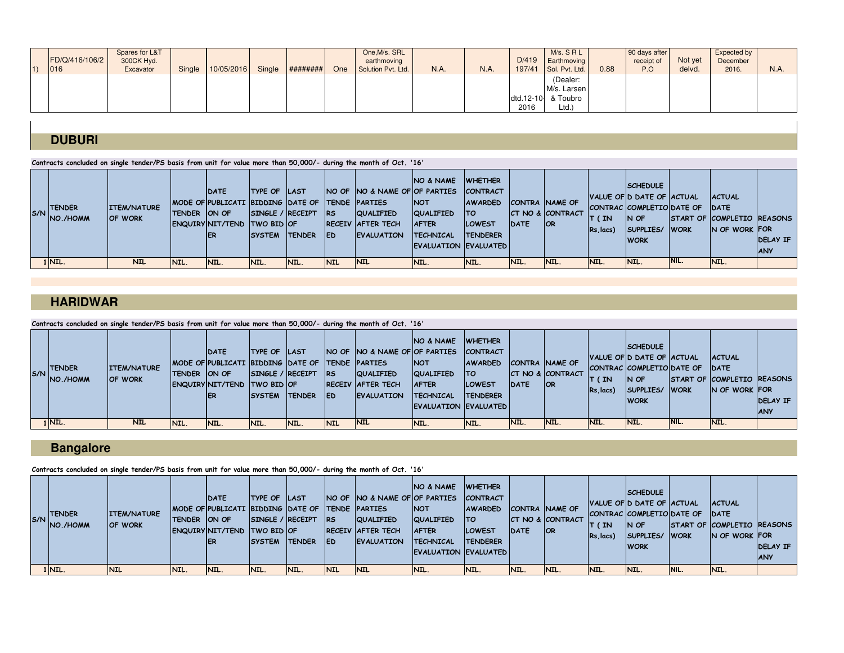| FD/Q/416/106/2<br> 016 | Spares for L&T<br>300CK Hyd.<br>Excavator | Single 10/05/2016 | Single $\left  \frac{+}{+} \frac{+}{+} \frac{+}{+} \frac{+}{+} \frac{+}{+} \frac{+}{+} \frac{+}{+} \frac{+}{+} \frac{+}{+} \frac{+}{+} \frac{+}{+} \frac{+}{+} \frac{+}{+} \frac{+}{+} \frac{+}{+} \frac{+}{+} \frac{+}{+} \frac{+}{+} \frac{+}{+} \frac{+}{+} \frac{+}{+} \frac{+}{+} \frac{+}{+} \frac{+}{+} \frac{+}{+} \frac{+}{+} \frac{+}{+} \frac{+}{+} \frac{+}{+} \frac{+}{+}$ | One | One, M/s. SRL<br>earthmoving<br>Solution Pvt. Ltd. | <b>N.A.</b> | N.A. | D/419 | $M/s.$ SRL<br><b>Earthmoving</b><br>197/41   Sol. Pvt. Ltd. | 0.88 | 90 days after<br>receipt of<br>P.O | Not yet<br>delvd. | Expected by<br>December<br>2016. | N.A. |
|------------------------|-------------------------------------------|-------------------|-----------------------------------------------------------------------------------------------------------------------------------------------------------------------------------------------------------------------------------------------------------------------------------------------------------------------------------------------------------------------------------------|-----|----------------------------------------------------|-------------|------|-------|-------------------------------------------------------------|------|------------------------------------|-------------------|----------------------------------|------|
|                        |                                           |                   |                                                                                                                                                                                                                                                                                                                                                                                         |     |                                                    |             |      |       | (Dealer:                                                    |      |                                    |                   |                                  |      |
|                        |                                           |                   |                                                                                                                                                                                                                                                                                                                                                                                         |     |                                                    |             |      |       | M/s. Larsen                                                 |      |                                    |                   |                                  |      |
|                        |                                           |                   |                                                                                                                                                                                                                                                                                                                                                                                         |     |                                                    |             |      |       | dtd.12-10 & Toubro                                          |      |                                    |                   |                                  |      |
|                        |                                           |                   |                                                                                                                                                                                                                                                                                                                                                                                         |     |                                                    |             |      | 2016  | Ltd.)                                                       |      |                                    |                   |                                  |      |

# **DUBURI**

**Contracts concluded on single tender/PS basis from unit for value more than 50,000/- during the month of Oct. '16'**

#### **HARIDWAR**

**Contracts concluded on single tender/PS basis from unit for value more than 50,000/- during the month of Oct. '16'**

| S/N | <b>TENDER</b><br>INO./HOMM | <b>ITEM/NATURE</b><br><b>OF WORK</b> | <b>TENDER ON OF</b> | <b>DATE</b><br>MODE OF PUBLICATI BIDDING DATE OF TENDE PARTIES<br><b>ENQUIRY NIT/TEND TWO BID OF</b><br>ER | <b>ITYPE OF ILAST</b><br><b>SINGLE / RECEIPT</b><br><b>SYSTEM</b> | <b>TENDER</b> | <b>RS</b><br>IED. | NO OF INO & NAME OF OF PARTIES<br><b>QUALIFIED</b><br><b>RECEIV AFTER TECH</b><br><b>IEVALUATION</b> | <b>NO &amp; NAME</b><br><b>INOT</b><br><b>QUALIFIED</b><br><b>AFTER</b><br><b>TECHNICAL</b><br>EVALUATION EVALUATED | <b>WHETHER</b><br><b>CONTRACT</b><br><b>AWARDED</b><br><b>ITO</b><br><b>LOWEST</b><br><b>TENDERER</b> | <b>DATE</b> | CONTRA NAME OF<br>ICT NO & ICONTRACT<br><b>IOR</b> | T(N)<br>Rs, lacs) | <b>SCHEDULE</b><br>VALUE OFID DATE OF ACTUAL<br>CONTRAC COMPLETIO DATE OF<br>IN OF<br><b>SUPPLIES/ WORK</b><br><b>WORK</b> |       | <b>ACTUAL</b><br><b>IDATE</b><br>START OF COMPLETIO REASONS<br>IN OF WORK FOR | <b>DELAY IF</b><br><b>ANY</b> |
|-----|----------------------------|--------------------------------------|---------------------|------------------------------------------------------------------------------------------------------------|-------------------------------------------------------------------|---------------|-------------------|------------------------------------------------------------------------------------------------------|---------------------------------------------------------------------------------------------------------------------|-------------------------------------------------------------------------------------------------------|-------------|----------------------------------------------------|-------------------|----------------------------------------------------------------------------------------------------------------------------|-------|-------------------------------------------------------------------------------|-------------------------------|
|     | 1 NIL.                     | <b>NIL</b>                           | NIL.                | INIL.                                                                                                      | NIL.                                                              | NIL.          | <b>NIL</b>        | <b>INIL</b>                                                                                          | NIL.                                                                                                                | NIL.                                                                                                  | NIL.        | INIL.                                              | NIL.              | NIL.                                                                                                                       | INIL. | NIL.                                                                          |                               |

#### **Bangalore**

|     |                            |                                      |              |                                                                |                      |               |                      |                                              | <b>NO &amp; NAME</b>             | <b>WHETHER</b>                    |             |                                  |           | <b>SCHEDULE</b>                    |      |                                                   |                 |
|-----|----------------------------|--------------------------------------|--------------|----------------------------------------------------------------|----------------------|---------------|----------------------|----------------------------------------------|----------------------------------|-----------------------------------|-------------|----------------------------------|-----------|------------------------------------|------|---------------------------------------------------|-----------------|
|     |                            |                                      |              | <b>DATE</b><br>MODE OF PUBLICATI BIDDING DATE OF TENDE PARTIES | <b>ITYPE OF LAST</b> |               |                      | NO OF NO & NAME OF OF PARTIES                | <b>INOT</b>                      | <b>CONTRACT</b><br><b>AWARDED</b> |             | <b>CONTRA INAME OF</b>           |           | VALUE OFID DATE OF ACTUAL          |      | <b>ACTUAL</b>                                     |                 |
| S/N | <b>TENDER</b><br>INO./HOMM | <b>ITEM/NATURE</b><br><b>OF WORK</b> | TENDER ON OF | <b>ENQUIRY NIT/TEND TWO BID OF</b>                             | SINGLE / RECEIPT     |               | <b>R<sub>S</sub></b> | <b>QUALIFIED</b><br><b>RECEIV AFTER TECH</b> | <b>QUALIFIED</b><br><b>AFTER</b> | <b>ITO</b><br><b>LOWEST</b>       | <b>DATE</b> | ICT NO & ICONTRACT<br><b>IOR</b> | (IN       | CONTRAC COMPLETIO DATE OF<br>IN OF |      | <b>IDATE</b><br><b>START OF COMPLETIO REASONS</b> |                 |
|     |                            |                                      |              | ER                                                             | <b>SYSTEM</b>        | <b>TENDER</b> | <b>IED</b>           | <b>IEVALUATION</b>                           | <b>TECHNICAL</b>                 | <b>TENDERER</b>                   |             |                                  | Rs, lacs) | SUPPLIES/ WORK<br><b>WORK</b>      |      | IN OF WORK FOR                                    | <b>DELAY IF</b> |
|     |                            |                                      |              |                                                                |                      |               |                      |                                              | EVALUATION EVALUATED             |                                   |             |                                  |           |                                    |      |                                                   | <b>ANY</b>      |
|     | 1 NIL.                     | <b>NIL</b>                           | NIL.         | INIL.                                                          | NIL.                 | NIL.          | <b>NIL</b>           | <b>NIL</b>                                   | INIL.                            | NIL.                              | NIL.        | NIL.                             | NIL       | NIL.                               | NIL. | NIL.                                              |                 |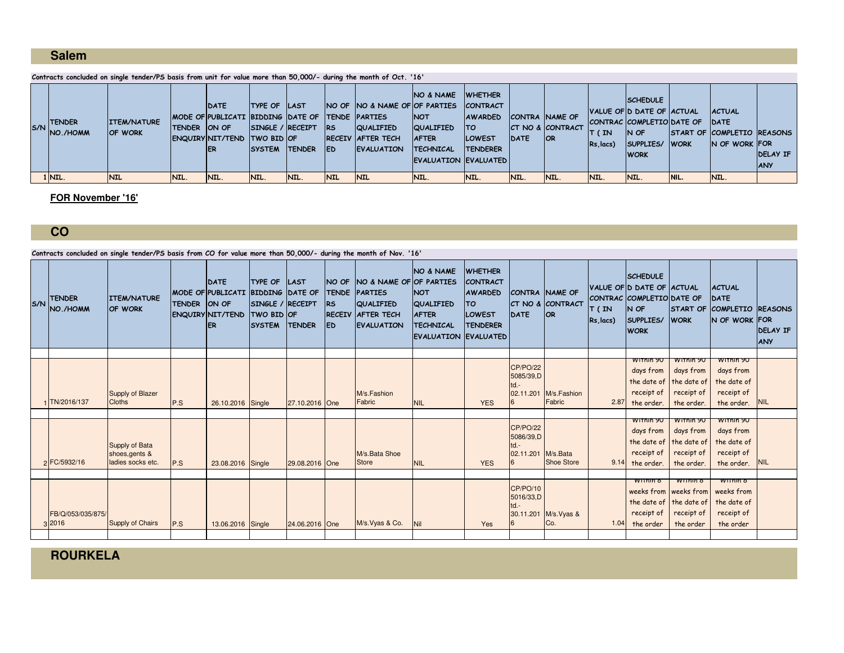#### **Salem**

| Contracts concluded on single tender/PS basis from unit for value more than 50,000/- during the month of Oct. '16' |  |  |
|--------------------------------------------------------------------------------------------------------------------|--|--|

| S/N | <b>TENDER</b><br><b>INO./HOMM</b> | <b>ITEM/NATURE</b><br><b>OF WORK</b> | <b>TENDER ON OF</b> | <b>IDATE</b><br><b>IMODE OF PUBLICATI BIDDING DATE OF TENDE PARTIES</b><br><b>ENQUIRY NIT/TEND TWO BID OF</b><br><b>IER</b> | <b>TYPE OF LAST</b><br>SINGLE / RECEIPT<br><b>ISYSTEM TENDER</b> |      | <b>IRS</b><br><b>IED</b> | NO OF NO & NAME OF OF PARTIES CONTRACT<br><b>QUALIFIED</b><br><b>RECEIV AFTER TECH</b><br><b>IEVALUATION</b> | <b>NO &amp; NAME</b><br><b>INOT</b><br><b>QUALIFIED</b><br><b>AFTER</b><br><b>TECHNICAL</b><br><b>EVALUATION EVALUATED</b> | <b>WHETHER</b><br><b>AWARDED</b><br><b>ITO</b><br><b>LOWEST</b><br><b>TENDERER</b> | <b>DATE</b> | <b>CONTRA INAME OF</b><br>CT NO & CONTRACT<br><b>IOR</b> | T (IN<br>Rs, lacs) | <b>SCHEDULE</b><br><b>VALUE OFID DATE OF ACTUAL</b><br>CONTRAC COMPLETIO DATE OF<br>IN OF<br>SUPPLIES/ WORK<br><b>WORK</b> |       | <b>ACTUAL</b><br><b>DATE</b><br>START OF COMPLETIO REASONS<br>IN OF WORK FOR | <b>IDELAY IF</b><br><b>ANY</b> |
|-----|-----------------------------------|--------------------------------------|---------------------|-----------------------------------------------------------------------------------------------------------------------------|------------------------------------------------------------------|------|--------------------------|--------------------------------------------------------------------------------------------------------------|----------------------------------------------------------------------------------------------------------------------------|------------------------------------------------------------------------------------|-------------|----------------------------------------------------------|--------------------|----------------------------------------------------------------------------------------------------------------------------|-------|------------------------------------------------------------------------------|--------------------------------|
|     | $1$ $NIL.$                        | <b>NIL</b>                           | NIL.                | <b>NIL.</b>                                                                                                                 | NIL.                                                             | NIL. | <b>NIL</b>               | <b>NIL</b>                                                                                                   | NIL.                                                                                                                       | INIL.                                                                              | NIL.        | <b>NIL</b>                                               | NIL.               | NIL.                                                                                                                       | INIL. | NIL.                                                                         |                                |

#### **FOR November '16'**

#### **CO**

**Contracts concluded on single tender/PS basis from CO for value more than 50,000/- during the month of Nov. '16'**

| S/N | <b>TENDER</b><br><b>NO./HOMM</b> | <b>ITEM/NATURE</b><br><b>OF WORK</b> | <b>TENDER ON OF</b> | <b>DATE</b><br>IMODE OF PUBLICATI<br><b>ENQUIRY NIT/TEND</b><br>ER | <b>TYPE OF</b><br><b>BIDDING DATE OF</b><br><b>SINGLE / RECEIPT</b><br><b>TWO BID OF</b><br><b>SYSTEM</b> | <b>LAST</b><br><b>TENDER</b> | <b>IRS</b><br><b>IED</b> | NO OF NO & NAME OF OF PARTIES<br><b>TENDE PARTIES</b><br><b>QUALIFIED</b><br><b>RECEIV AFTER TECH</b><br><b>IEVALUATION</b> | <b>NO &amp; NAME</b><br><b>NOT</b><br><b>QUALIFIED</b><br><b>AFTER</b><br><b>TECHNICAL</b><br><b>EVALUATION EVALUATED</b> | <b>WHETHER</b><br><b>CONTRACT</b><br><b>AWARDED</b><br><b>TO</b><br><b>LOWEST</b><br><b>TENDERER</b> | <b>DATE</b>     | <b>CONTRA NAME OF</b><br>CT NO & CONTRACT<br><b>IOR</b> | T(N)<br>Rs, lacs) | <b>SCHEDULE</b><br>VALUE OF D DATE OF ACTUAL<br>CONTRAC COMPLETIO DATE OF<br><b>N OF</b><br><b>SUPPLIES/</b><br><b>WORK</b> | <b>START OF</b><br><b>WORK</b> | <b>ACTUAL</b><br><b>DATE</b><br><b>COMPLETIO REASONS</b><br>IN OF WORK FOR | <b>DELAY IF</b><br><b>ANY</b> |
|-----|----------------------------------|--------------------------------------|---------------------|--------------------------------------------------------------------|-----------------------------------------------------------------------------------------------------------|------------------------------|--------------------------|-----------------------------------------------------------------------------------------------------------------------------|---------------------------------------------------------------------------------------------------------------------------|------------------------------------------------------------------------------------------------------|-----------------|---------------------------------------------------------|-------------------|-----------------------------------------------------------------------------------------------------------------------------|--------------------------------|----------------------------------------------------------------------------|-------------------------------|
|     |                                  |                                      |                     |                                                                    |                                                                                                           |                              |                          |                                                                                                                             |                                                                                                                           |                                                                                                      |                 |                                                         |                   | <b>Within 90</b>                                                                                                            | <b>WITHIN YU</b>               | <b>WITHIN YU</b>                                                           |                               |
|     |                                  |                                      |                     |                                                                    |                                                                                                           |                              |                          |                                                                                                                             |                                                                                                                           |                                                                                                      | <b>CP/PO/22</b> |                                                         |                   | days from                                                                                                                   | days from                      | days from                                                                  |                               |
|     |                                  |                                      |                     |                                                                    |                                                                                                           |                              |                          |                                                                                                                             |                                                                                                                           |                                                                                                      | 5085/39,D       |                                                         |                   | the date of                                                                                                                 | the date of                    | the date of                                                                |                               |
|     |                                  | Supply of Blazer                     |                     |                                                                    |                                                                                                           |                              |                          | M/s.Fashion                                                                                                                 |                                                                                                                           |                                                                                                      | $td. -$         | 02.11.201 M/s. Fashion                                  |                   | receipt of                                                                                                                  | receipt of                     | receipt of                                                                 |                               |
|     | TN/2016/137                      | <b>Cloths</b>                        | P.S                 | 26.10.2016 Single                                                  |                                                                                                           | 27.10.2016 One               |                          | Fabric                                                                                                                      | <b>NIL</b>                                                                                                                | <b>YES</b>                                                                                           |                 | Fabric                                                  | 2.87              | the order.                                                                                                                  | the order.                     | the order.                                                                 | <b>NIL</b>                    |
|     |                                  |                                      |                     |                                                                    |                                                                                                           |                              |                          |                                                                                                                             |                                                                                                                           |                                                                                                      |                 |                                                         |                   |                                                                                                                             |                                |                                                                            |                               |
|     |                                  |                                      |                     |                                                                    |                                                                                                           |                              |                          |                                                                                                                             |                                                                                                                           |                                                                                                      | <b>CP/PO/22</b> |                                                         |                   | <b>Within 90</b>                                                                                                            | <b>Within 90</b>               | <b>Within 90</b>                                                           |                               |
|     |                                  |                                      |                     |                                                                    |                                                                                                           |                              |                          |                                                                                                                             |                                                                                                                           |                                                                                                      | 5086/39,D       |                                                         |                   | days from                                                                                                                   | days from                      | days from                                                                  |                               |
|     |                                  | Supply of Bata                       |                     |                                                                    |                                                                                                           |                              |                          |                                                                                                                             |                                                                                                                           |                                                                                                      | $td.-$          |                                                         |                   | the date of the date of                                                                                                     |                                | the date of                                                                |                               |
|     |                                  | shoes, gents &                       |                     |                                                                    |                                                                                                           |                              |                          | M/s.Bata Shoe                                                                                                               |                                                                                                                           |                                                                                                      | 02.11.201       | M/s.Bata                                                |                   | receipt of                                                                                                                  | receipt of                     | receipt of                                                                 |                               |
|     | 2 FC/5932/16                     | ladies socks etc.                    | P.S                 | 23.08.2016 Single                                                  |                                                                                                           | 29.08.2016 One               |                          | Store                                                                                                                       | <b>NIL</b>                                                                                                                | <b>YES</b>                                                                                           |                 | <b>Shoe Store</b>                                       | 9.14              | the order.                                                                                                                  | the order.                     | the order.                                                                 | <b>INIL</b>                   |
|     |                                  |                                      |                     |                                                                    |                                                                                                           |                              |                          |                                                                                                                             |                                                                                                                           |                                                                                                      |                 |                                                         |                   | <b>Within 8</b>                                                                                                             | <b>Within 8</b>                | <b>Within 8</b>                                                            |                               |
|     |                                  |                                      |                     |                                                                    |                                                                                                           |                              |                          |                                                                                                                             |                                                                                                                           |                                                                                                      | CP/PO/10        |                                                         |                   | weeks from weeks from                                                                                                       |                                | weeks from                                                                 |                               |
|     |                                  |                                      |                     |                                                                    |                                                                                                           |                              |                          |                                                                                                                             |                                                                                                                           |                                                                                                      | 5016/33,D       |                                                         |                   | the date of the date of                                                                                                     |                                | the date of                                                                |                               |
|     | FB/Q/053/035/875/                |                                      |                     |                                                                    |                                                                                                           |                              |                          |                                                                                                                             |                                                                                                                           |                                                                                                      | td.-            | 30.11.201 M/s. Vyas &                                   |                   | receipt of                                                                                                                  | receipt of                     | receipt of                                                                 |                               |
|     | 3 2016                           | <b>Supply of Chairs</b>              | P.S                 | 13.06.2016 Single                                                  |                                                                                                           | 24.06.2016 One               |                          | M/s. Vyas & Co.                                                                                                             | <b>Nil</b>                                                                                                                | Yes                                                                                                  |                 | ICo.                                                    | 1.04              | the order                                                                                                                   | the order                      | the order                                                                  |                               |
|     |                                  |                                      |                     |                                                                    |                                                                                                           |                              |                          |                                                                                                                             |                                                                                                                           |                                                                                                      |                 |                                                         |                   |                                                                                                                             |                                |                                                                            |                               |

# **ROURKELA**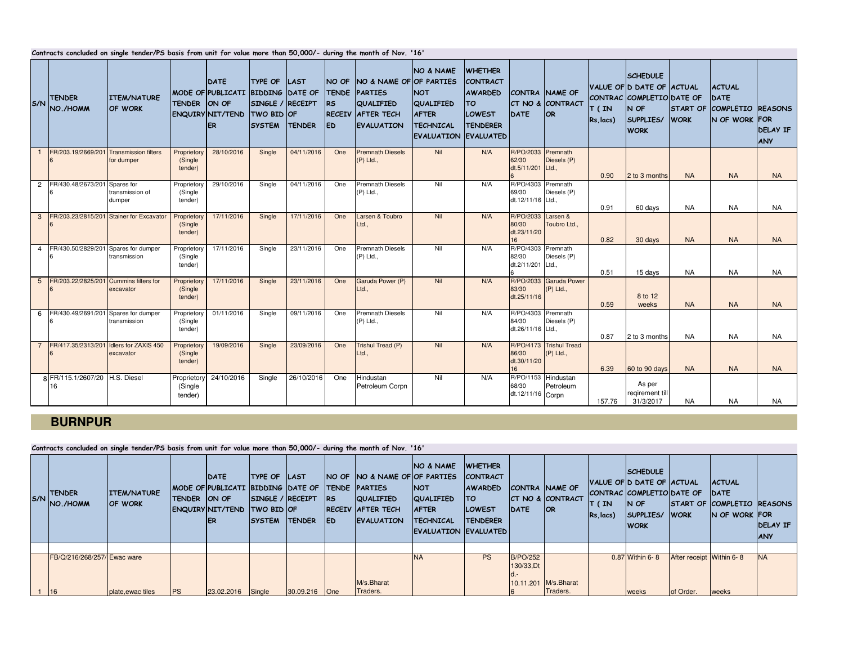#### **Contracts concluded on single tender/PS basis from unit for value more than 50,000/- during the month of Nov. '16'**

| S/N            | <b>TENDER</b><br>NO./HOMM            | <b>ITEM/NATURE</b><br><b>IOF WORK</b>     | <b>TENDER</b>                     | <b>DATE</b><br><b>MODE OF PUBLICATI</b><br><b>ON OF</b><br><b>ENQUIRY NIT/TEND</b><br><b>IER</b> | <b>TYPE OF</b><br><b>BIDDING DATE OF</b><br><b>SINGLE / RECEIPT</b><br><b>TWO BID OF</b><br><b>SYSTEM</b> | <b>LAST</b><br><b>TENDER</b> | <b>NO OF</b><br><b>TENDE</b><br><b>IRS</b><br><b>RECEIV</b><br><b>IED</b> | <b>NO &amp; NAME OF OF PARTIES</b><br><b>PARTIES</b><br><b>QUALIFIED</b><br><b>AFTER TECH</b><br><b>EVALUATION</b> | <b>NO &amp; NAME</b><br><b>NOT</b><br><b>QUALIFIED</b><br><b>AFTER</b><br><b>TECHNICAL</b><br><b>EVALUATION</b> | <b>WHETHER</b><br><b>CONTRACT</b><br><b>AWARDED</b><br><b>TO</b><br><b>LOWEST</b><br><b>TENDERER</b><br><b>EVALUATED</b> | <b>DATE</b>                                      | CONTRA NAME OF<br>CT NO & CONTRACT<br><b>OR</b> | T(N)<br>Rs, lacs) | <b>SCHEDULE</b><br>VALUE OF D DATE OF ACTUAL<br>CONTRAC COMPLETIO DATE OF<br>IN OF<br>SUPPLIES/<br><b>WORK</b> | <b>START OF</b><br><b>WORK</b> | <b>ACTUAL</b><br><b>DATE</b><br><b>COMPLETIO REASONS</b><br>N OF WORK FOR | <b>DELAY IF</b><br><b>ANY</b> |
|----------------|--------------------------------------|-------------------------------------------|-----------------------------------|--------------------------------------------------------------------------------------------------|-----------------------------------------------------------------------------------------------------------|------------------------------|---------------------------------------------------------------------------|--------------------------------------------------------------------------------------------------------------------|-----------------------------------------------------------------------------------------------------------------|--------------------------------------------------------------------------------------------------------------------------|--------------------------------------------------|-------------------------------------------------|-------------------|----------------------------------------------------------------------------------------------------------------|--------------------------------|---------------------------------------------------------------------------|-------------------------------|
|                | FR/203.19/2669/201                   | <b>Transmission filters</b><br>for dumper | Proprietory<br>(Single<br>tender) | 28/10/2016                                                                                       | Single                                                                                                    | 04/11/2016                   | One                                                                       | <b>Premnath Diesels</b><br>(P) Ltd.,                                                                               | Nil                                                                                                             | N/A                                                                                                                      | R/PO/2033<br>62/30<br>dt.5/11/201 Ltd.,          | Premnath<br>Diesels (P)                         | 0.90              | 2 to 3 months                                                                                                  | <b>NA</b>                      | <b>NA</b>                                                                 | <b>NA</b>                     |
| $\overline{2}$ | FR/430.48/2673/201                   | Spares for<br>transmission of<br>dumper   | Proprietory<br>(Single<br>tender) | 29/10/2016                                                                                       | Single                                                                                                    | 04/11/2016                   | One                                                                       | <b>Premnath Diesels</b><br>$(P)$ Ltd                                                                               | Nil                                                                                                             | N/A                                                                                                                      | R/PO/4303 Premnath<br>69/30<br>dt.12/11/16 Ltd., | Diesels (P)                                     | 0.91              | 60 days                                                                                                        | <b>NA</b>                      | <b>NA</b>                                                                 | <b>NA</b>                     |
| 3              | FR/203.23/2815/201                   | Stainer for Excavator                     | Proprietory<br>(Single<br>tender) | 17/11/2016                                                                                       | Single                                                                                                    | 17/11/2016                   | One                                                                       | Larsen & Toubro<br>Ltd.,                                                                                           | Nil                                                                                                             | N/A                                                                                                                      | R/PO/2033<br>80/30<br>dt.23/11/20<br>16          | Larsen &<br>Toubro Ltd.,                        | 0.82              | 30 days                                                                                                        | <b>NA</b>                      | <b>NA</b>                                                                 | <b>NA</b>                     |
| $\overline{4}$ | FR/430.50/2829/201                   | Spares for dumper<br>transmission         | Proprietory<br>(Single<br>tender) | 17/11/2016                                                                                       | Single                                                                                                    | 23/11/2016                   | One                                                                       | <b>Premnath Diesels</b><br>(P) Ltd.,                                                                               | Nil                                                                                                             | N/A                                                                                                                      | R/PO/4303<br>82/30<br>dt.2/11/201 Ltd.,          | Premnath<br>Diesels (P)                         | 0.51              | 15 days                                                                                                        | <b>NA</b>                      | <b>NA</b>                                                                 | <b>NA</b>                     |
| 5              | FR/203.22/2825/201                   | Cummins filters for<br>excavator          | Proprietory<br>(Single<br>tender) | 17/11/2016                                                                                       | Single                                                                                                    | 23/11/2016                   | One                                                                       | Garuda Power (P)<br>Ltd.,                                                                                          | Nil                                                                                                             | N/A                                                                                                                      | 83/30<br>dt.25/11/16                             | R/PO/2033 Garuda Power<br>(P) Ltd.,             | 0.59              | 8 to 12<br>weeks                                                                                               | <b>NA</b>                      | <b>NA</b>                                                                 | <b>NA</b>                     |
| 6              | FR/430.49/2691/201                   | Spares for dumper<br>transmission         | Proprietory<br>(Single<br>tender) | 01/11/2016                                                                                       | Single                                                                                                    | 09/11/2016                   | One                                                                       | <b>Premnath Diesels</b><br>$(P)$ Ltd.                                                                              | Nil                                                                                                             | N/A                                                                                                                      | R/PO/4303<br>84/30<br>dt.26/11/16 Ltd.,          | Premnath<br>Diesels (P)                         | 0.87              | 2 to 3 months                                                                                                  | <b>NA</b>                      | <b>NA</b>                                                                 | <b>NA</b>                     |
|                | FR/417.35/2313/201                   | Idlers for ZAXIS 450<br>excavator         | Proprietory<br>(Single<br>tender) | 19/09/2016                                                                                       | Single                                                                                                    | 23/09/2016                   | One                                                                       | Trishul Tread (P)<br>Ltd.,                                                                                         | Nil                                                                                                             | N/A                                                                                                                      | R/PO/4173<br>86/30<br>dt.30/11/20<br>16          | <b>Trishul Tread</b><br>(P) Ltd.,               | 6.39              | 60 to 90 days                                                                                                  | <b>NA</b>                      | <b>NA</b>                                                                 | <b>NA</b>                     |
|                | 8 FR/115.1/2607/20 H.S. Diesel<br>16 |                                           | Proprietory<br>(Single<br>tender) | 24/10/2016                                                                                       | Single                                                                                                    | 26/10/2016                   | One                                                                       | Hindustan<br>Petroleum Corpn                                                                                       | Nil                                                                                                             | N/A                                                                                                                      | R/PO/1153 Hindustan<br>68/30<br>dt.12/11/16      | Petroleum<br>Corpn                              | 157.76            | As per<br>regirement till<br>31/3/2017                                                                         | <b>NA</b>                      | <b>NA</b>                                                                 | <b>NA</b>                     |

#### **BURNPUR**

| S/N | <b>TENDER</b><br><b>NO./HOMM</b>  | <b>ITEM/NATURE</b><br><b>OF WORK</b> | <b>TENDER ON OF</b> | <b>DATE</b><br>MODE OF PUBLICATI BIDDING DATE OF<br><b>ENQUIRY NIT/TEND TWO BID OF</b><br>IER | <b>ITYPE OF LAST</b><br><b>SINGLE / RECEIPT</b><br><b>ISYSTEM ITENDER</b> |               | <b>RS</b><br>IED. | INO OF INO & NAME OF OF PARTIES<br><b>TENDE PARTIES</b><br><b>QUALIFIED</b><br><b>RECEIV AFTER TECH</b><br><b>IEVALUATION</b> | <b>NO &amp; NAME</b><br><b>INOT</b><br><b>QUALIFIED</b><br><b>AFTER</b><br><b>ITECHNICAL</b><br><b>EVALUATION EVALUATED</b> | <b>WHETHER</b><br><b>CONTRACT</b><br><b>AWARDED</b><br>ITO.<br><b>LOWEST</b><br><b>TENDERER</b> | <b>DATE</b>                                               | <b>CONTRA INAME OF</b><br>ICT NO & CONTRACT<br> OR | $ T $ ( IN<br>Rs, lacs) | <b>SCHEDULE</b><br>VALUE OFID DATE OF LACTUAL<br>CONTRAC COMPLETIO DATE OF<br>IN OF<br>SUPPLIES/<br><b>WORK</b> | <b>IWORK</b>                          | <b>ACTUAL</b><br><b>IDATE</b><br><b>START OF COMPLETIO REASONS</b><br>IN OF WORK FOR | <b>IDELAY IF</b><br><b>ANY</b> |
|-----|-----------------------------------|--------------------------------------|---------------------|-----------------------------------------------------------------------------------------------|---------------------------------------------------------------------------|---------------|-------------------|-------------------------------------------------------------------------------------------------------------------------------|-----------------------------------------------------------------------------------------------------------------------------|-------------------------------------------------------------------------------------------------|-----------------------------------------------------------|----------------------------------------------------|-------------------------|-----------------------------------------------------------------------------------------------------------------|---------------------------------------|--------------------------------------------------------------------------------------|--------------------------------|
|     |                                   |                                      |                     |                                                                                               |                                                                           |               |                   |                                                                                                                               |                                                                                                                             |                                                                                                 |                                                           |                                                    |                         |                                                                                                                 |                                       |                                                                                      |                                |
|     | FB/Q/216/268/257/ Ewac ware<br>16 | plate.ewac tiles                     | <b>PS</b>           | 23.02.2016 Single                                                                             |                                                                           | 30.09.216 One |                   | M/s.Bharat<br>Traders.                                                                                                        | <b>NA</b>                                                                                                                   | <b>PS</b>                                                                                       | <b>B/PO/252</b><br>$130/33$ , Dt<br>10.11.201 M/s. Bharat | Traders.                                           |                         | 0.87 Within 6-8<br><b>weeks</b>                                                                                 | After receipt Within 6-8<br>of Order. | weeks                                                                                | <b>NA</b>                      |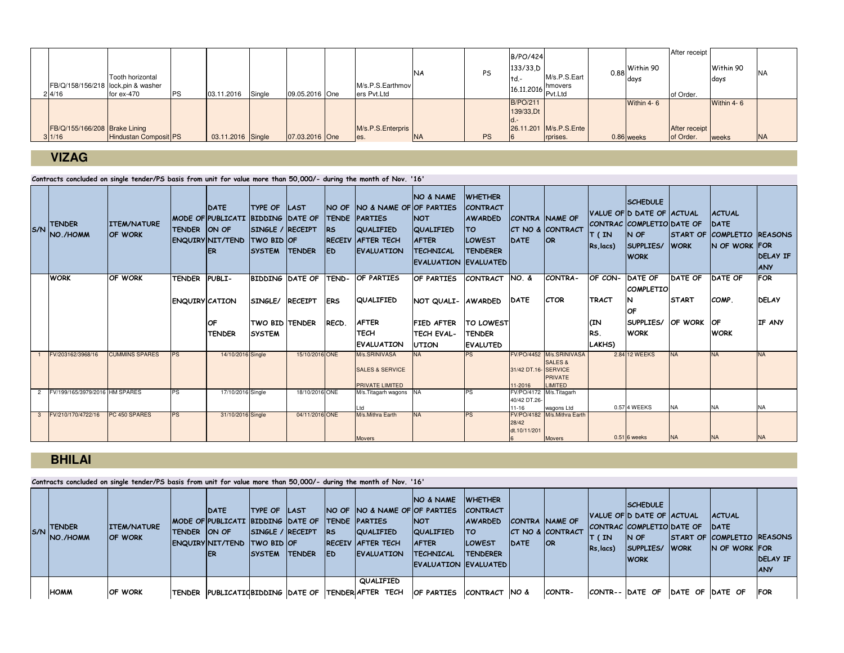|                                     |                              |           |                   |                |                   |            |           | B/PO/424<br>133/33.D |                         |      | Within 90  | After receipt | Within 90  |           |
|-------------------------------------|------------------------------|-----------|-------------------|----------------|-------------------|------------|-----------|----------------------|-------------------------|------|------------|---------------|------------|-----------|
| FB/Q/158/156/218 lock, pin & washer | Tooth horizontal             |           |                   |                | M/s.P.S.Earthmov  | NA         | PS        | ltd.-                | M/s.P.S.Eart<br>hmovers | 0.88 | days       |               | days       | <b>NA</b> |
| 24/16                               | for ex-470                   | <b>PS</b> | 03.11.2016 Single | 09.05.2016 One | ers Pvt.Ltd       |            |           |                      | 16.11.2016 Pvt.Ltd      |      |            | of Order.     |            |           |
|                                     |                              |           |                   |                |                   |            |           | <b>B/PO/211</b>      |                         |      | Within 4-6 |               | Within 4-6 |           |
|                                     |                              |           |                   |                |                   |            |           | 139/33, Dt           |                         |      |            |               |            |           |
|                                     |                              |           |                   |                |                   |            |           |                      |                         |      |            |               |            |           |
| FB/Q/155/166/208 Brake Lining       |                              |           |                   |                | M/s.P.S.Enterpris |            |           |                      | 26.11.201 M/s.P.S.Ente  |      |            | After receipt |            |           |
| 31/16                               | <b>Hindustan Composit PS</b> |           | 03.11.2016 Single | 07.03.2016 One | les.              | <b>INA</b> | <b>PS</b> |                      | rprises.                |      | 0.86 weeks | of Order.     | weeks      | <b>NA</b> |

#### **VIZAG**

| S/N          | <b>TENDER</b><br><b>INO./HOMM</b> | <b>ITEM/NATURE</b><br><b>OF WORK</b> | <b>TENDER ON OF</b>                    | <b>DATE</b><br>MODE OF PUBLICATI BIDDING DATE OF<br><b>ENQUIRY NIT/TEND TWO BID OF</b><br><b>IER</b> | <b>TYPE OF</b><br><b>SINGLE / RECEIPT</b><br><b>SYSTEM</b> | <b>LAST</b><br><b>TENDER</b> | <b>TENDE</b><br><b>IRS</b><br><b>RECEIV</b><br><b>IED</b> | NO OF NO & NAME OF OF PARTIES<br><b>PARTIES</b><br><b>QUALIFIED</b><br><b>AFTER TECH</b><br><b>IEVALUATION</b> | <b>NO &amp; NAME</b><br><b>INOT</b><br><b>QUALIFIED</b><br><b>AFTER</b><br><b>TECHNICAL</b><br><b>EVALUATION EVALUATED</b> | <b>WHETHER</b><br><b>CONTRACT</b><br><b>AWARDED</b><br>TO.<br><b>LOWEST</b><br><b>TENDERER</b> | <b>DATE</b>                                           | ICONTRA INAME OF<br>ICT NO & ICONTRACT<br> OR                               | T(TN)<br>Rs, lacs)      | <b>SCHEDULE</b><br>VALUE OF D DATE OF ACTUAL<br>CONTRAC COMPLETIO DATE OF<br>IN OF<br>SUPPLIES/<br><b>WORK</b> | <b>WORK</b>             | <b>ACTUAL</b><br><b>DATE</b><br>START OF COMPLETIO REASONS<br>N OF WORK FOR | <b>DELAY IF</b><br><b>ANY</b> |
|--------------|-----------------------------------|--------------------------------------|----------------------------------------|------------------------------------------------------------------------------------------------------|------------------------------------------------------------|------------------------------|-----------------------------------------------------------|----------------------------------------------------------------------------------------------------------------|----------------------------------------------------------------------------------------------------------------------------|------------------------------------------------------------------------------------------------|-------------------------------------------------------|-----------------------------------------------------------------------------|-------------------------|----------------------------------------------------------------------------------------------------------------|-------------------------|-----------------------------------------------------------------------------|-------------------------------|
|              | <b>WORK</b>                       | <b>OF WORK</b>                       | <b>TENDER</b><br><b>ENQUIRY CATION</b> | PUBLI-                                                                                               | <b>BIDDING DATE OF</b><br>SINGLE/                          | <b>RECEIPT</b>               | TEND-<br><b>IERS</b>                                      | <b>OF PARTIES</b><br><b>QUALIFIED</b>                                                                          | OF PARTIES<br>NOT QUALI-                                                                                                   | <b>CONTRACT</b><br><b>AWARDED</b>                                                              | NO. &<br><b>DATE</b>                                  | CONTRA-<br><b>CTOR</b>                                                      | OF CON-<br><b>TRACT</b> | DATE OF<br><b>COMPLETIO</b><br>IN.<br><b>OF</b>                                                                | DATE OF<br><b>START</b> | DATE OF<br>COMP.                                                            | <b>FOR</b><br><b>DELAY</b>    |
|              |                                   |                                      |                                        | <b>OF</b><br><b>TENDER</b>                                                                           | <b>TWO BID TENDER</b><br><b>SYSTEM</b>                     |                              | RECD.                                                     | <b>AFTER</b><br><b>TECH</b><br><b>EVALUATION</b>                                                               | <b>FIED AFTER</b><br><b>TECH EVAL-</b><br><b>UTION</b>                                                                     | <b>TO LOWEST</b><br><b>TENDER</b><br><b>EVALUTED</b>                                           |                                                       |                                                                             | (IN<br>RS.<br>LAKHS)    | SUPPLIES/<br><b>WORK</b>                                                                                       | <b>OF WORK</b>          | <b>OF</b><br><b>WORK</b>                                                    | IF ANY                        |
|              | FV/203162/3968/16                 | <b>CUMMINS SPARES</b>                | <b>PS</b>                              | 14/10/2016 Single                                                                                    |                                                            | 15/10/2016 ONE               |                                                           | M/s.SRINIVASA<br><b>SALES &amp; SERVICE</b><br><b>PRIVATE LIMITED</b>                                          | <b>NA</b>                                                                                                                  | PS.                                                                                            | 31/42 DT.16- SERVICE<br>11-2016                       | FV/PO/4452 M/s.SRINIVASA<br><b>SALES &amp;</b><br><b>PRIVATE</b><br>LIMITED |                         | 2.84 12 WEEKS                                                                                                  | <b>NA</b>               | <b>NA</b>                                                                   | <b>NA</b>                     |
|              | FV/199/165/3979/2016              | <b>HM SPARES</b>                     | PS                                     | 17/10/2016 Single                                                                                    |                                                            | 18/10/2016 ONE               |                                                           | M/s. Titagarh wagons<br>Ltd                                                                                    | <b>NA</b>                                                                                                                  |                                                                                                | FV/PO/4172 M/s. Titagarh<br>40/42 DT.26-<br>$11 - 16$ | wagons Ltd                                                                  |                         | 0.57 4 WEEKS                                                                                                   |                         | <b>NA</b>                                                                   | <b>NA</b>                     |
| $\mathbf{3}$ | FV/210/170/4722/16                | PC 450 SPARES                        | <b>PS</b>                              | 31/10/2016 Single                                                                                    |                                                            | 04/11/2016 ONE               |                                                           | M/s.Mithra Earth<br><b>Movers</b>                                                                              | <b>NA</b>                                                                                                                  | <b>PS</b>                                                                                      | 28/42<br>dt.10/11/201                                 | FV/PO/4182 M/s.Mithra Earth<br><b>Movers</b>                                |                         | 0.51 6 weeks                                                                                                   | <b>NA</b>               | <b>NA</b>                                                                   | <b>NA</b>                     |

#### **BHILAI**

#### **Contracts concluded on single tender/PS basis from unit for value more than 50,000/- during the month of Nov. '16'**

| S/N | TENDER<br>INO./HOMM | <b>ITEM/NATURE</b><br><b>OF WORK</b> | TENDER ON OF | <b>IDATE</b><br>MODE OF PUBLICATI BIDDING DATE OF<br><b>ENQUIRY NIT/TEND TWO BID OF</b><br>IER | <b>ITYPE OF LAST</b><br><b>SINGLE / RECEIPT</b><br><b>ISYSTEM TENDER</b> | <b>RS</b><br><b>IED</b> | NO OF INO & NAME OF OF PARTIES<br><b>TENDE PARTIES</b><br><b>QUALIFIED</b><br><b>RECEIV AFTER TECH</b><br><b>IEVALUATION</b> | <b>NO &amp; NAME</b><br><b>NOT</b><br><b>QUALIFIED</b><br><b>AFTER</b><br><b>TECHNICAL</b><br>EVALUATION EVALUATED | <b>WHETHER</b><br><b>CONTRACT</b><br><b>AWARDED</b><br><b>ITO</b><br><b>LOWEST</b><br><b>TENDERER</b> | <b>IDATE</b> | <b>CONTRA INAME OF</b><br>ICT NO & ICONTRACT<br> OR | $\mathsf{T}$ ( IN<br>Rs, lacs) | <b>SCHEDULE</b><br>VALUE OFID DATE OF ACTUAL<br>CONTRAC COMPLETIO DATE OF<br>IN OF<br><b>SUPPLIES/</b><br><b>WORK</b> | <b>WORK</b> | <b>ACTUAL</b><br><b>IDATE</b><br>START OF COMPLETIO REASONS<br>IN OF WORK FOR | DELAY IF<br><b>ANY</b> |
|-----|---------------------|--------------------------------------|--------------|------------------------------------------------------------------------------------------------|--------------------------------------------------------------------------|-------------------------|------------------------------------------------------------------------------------------------------------------------------|--------------------------------------------------------------------------------------------------------------------|-------------------------------------------------------------------------------------------------------|--------------|-----------------------------------------------------|--------------------------------|-----------------------------------------------------------------------------------------------------------------------|-------------|-------------------------------------------------------------------------------|------------------------|
|     | <b>HOMM</b>         | <b>IOF WORK</b>                      |              |                                                                                                |                                                                          |                         | QUALIFIED<br>TENDER PUBLICATIOBIDDING DATE OF TENDER AFTER TECH                                                              | <b>OF PARTIES</b>                                                                                                  | CONTRACT NO &                                                                                         |              | CONTR-                                              |                                | ICONTR-- IDATE OF                                                                                                     |             | DATE OF DATE OF                                                               | <b>IFOR</b>            |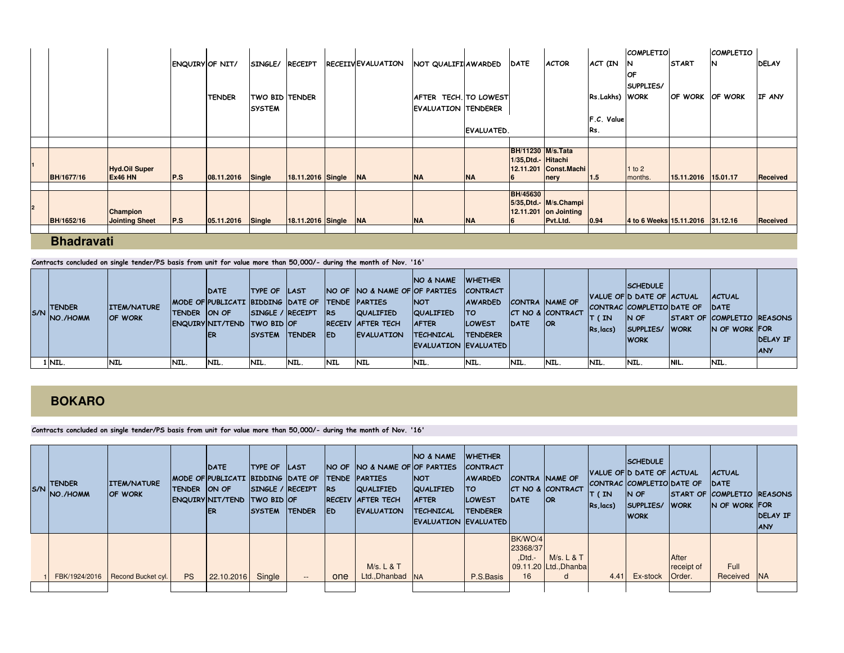|                   |                       |                        |                   |                |                   |                          |                            |            |                           |                                                    |                | <b>COMPLETIO</b>                 |                     | <b>COMPLETIO</b> |              |
|-------------------|-----------------------|------------------------|-------------------|----------------|-------------------|--------------------------|----------------------------|------------|---------------------------|----------------------------------------------------|----------------|----------------------------------|---------------------|------------------|--------------|
|                   |                       | <b>ENQUIRY OF NIT/</b> |                   | SINGLE/        | <b>RECEIPT</b>    | <b>RECEIIVEVALUATION</b> | NOT QUALIFI AWARDED        |            | <b>DATE</b>               | <b>ACTOR</b>                                       | ACT (IN        | -IN                              | <b>START</b>        | ΙN               | <b>DELAY</b> |
|                   |                       |                        |                   |                |                   |                          |                            |            |                           |                                                    |                | OF                               |                     |                  |              |
|                   |                       |                        |                   |                |                   |                          |                            |            |                           |                                                    |                | SUPPLIES/                        |                     |                  |              |
|                   |                       |                        | <b>TENDER</b>     | TWO BID TENDER |                   |                          | AFTER TECH. TO LOWEST      |            |                           |                                                    | Rs.Lakhs) WORK |                                  | OF WORK OF WORK     |                  | IF ANY       |
|                   |                       |                        |                   | <b>SYSTEM</b>  |                   |                          | <b>EVALUATION TENDERER</b> |            |                           |                                                    |                |                                  |                     |                  |              |
|                   |                       |                        |                   |                |                   |                          |                            |            |                           |                                                    | F.C. Value     |                                  |                     |                  |              |
|                   |                       |                        |                   |                |                   |                          |                            | EVALUATED. |                           |                                                    | IRs.           |                                  |                     |                  |              |
|                   |                       |                        |                   |                |                   |                          |                            |            |                           |                                                    |                |                                  |                     |                  |              |
|                   |                       |                        |                   |                |                   |                          |                            |            | <b>BH/11230 M/s. Tata</b> |                                                    |                |                                  |                     |                  |              |
|                   | <b>Hyd.Oil Super</b>  |                        |                   |                |                   |                          |                            |            | 1/35, Dtd. - Hitachi      | 12.11.201 Const. Machi                             |                | 1 to 2                           |                     |                  |              |
| BH/1677/16        | Ex46 HN               | P.S                    | 08.11.2016 Single |                | 18.11.2016 Single | <b>NA</b>                | <b>NA</b>                  | <b>NA</b>  |                           | nery                                               | 1.5            | months.                          | 15.11.2016 15.01.17 |                  | Received     |
|                   |                       |                        |                   |                |                   |                          |                            |            |                           |                                                    |                |                                  |                     |                  |              |
|                   |                       |                        |                   |                |                   |                          |                            |            | <b>BH/45630</b>           |                                                    |                |                                  |                     |                  |              |
|                   | Champion              |                        |                   |                |                   |                          |                            |            |                           | 5/35, Dtd.- M/s. Champi<br>$12.11.201$ on Jointing |                |                                  |                     |                  |              |
| BH/1652/16        | <b>Jointing Sheet</b> | P.S                    | 05.11.2016        | Single         | 18.11.2016 Single | <b>NA</b>                | <b>NA</b>                  | <b>NA</b>  |                           | Pvt.Ltd.                                           | 0.94           | 4 to 6 Weeks 15.11.2016 31.12.16 |                     |                  | Received     |
|                   |                       |                        |                   |                |                   |                          |                            |            |                           |                                                    |                |                                  |                     |                  |              |
| <b>Bhadravati</b> |                       |                        |                   |                |                   |                          |                            |            |                           |                                                    |                |                                  |                     |                  |              |

**Contracts concluded on single tender/PS basis from unit for value more than 50,000/- during the month of Nov. '16'**

| S/N | <b>TENDER</b><br>INO./HOMM | <b>ITEM/NATURE</b><br><b>OF WORK</b> | <b>TENDER ON OF</b> | <b>IDATE</b><br>IMODE OF PUBLICATI BIDDING DATE OF TENDE PARTIES<br><b>ENQUIRY NIT/TEND TWO BID OF</b><br><b>ER</b> | <b>ITYPE OF LAST</b><br><b>SINGLE / RECEIPT</b><br><b>ISYSTEM</b> | <b>TENDER</b> | <b>RS</b><br><b>IED</b> | NO OF INO & NAME OF OF PARTIES<br><b>QUALIFIED</b><br><b>RECEIV AFTER TECH</b><br><b>EVALUATION</b> | <b>NO &amp; NAME</b><br><b>INOT</b><br><b>OUALIFIED</b><br><b>AFTER</b><br><b>TECHNICAL</b><br>EVALUATION EVALUATED | <b>WHETHER</b><br><b>CONTRACT</b><br><b>AWARDED</b><br><b>ITO</b><br><b>ILOWEST</b><br><b>TENDERER</b> | <b>IDATE</b> | CONTRA NAME OF<br>ICT NO & ICONTRACT<br> OR | T(N)<br>Rs, lacs) | <b>SCHEDULE</b><br>VALUE OFID DATE OF LACTUAL<br>CONTRAC COMPLETIO DATE OF<br>IN OF<br><b>SUPPLIES/ WORK</b><br><b>WORK</b> | <b>ACTUAL</b><br><b>IDATE</b><br>START OF COMPLETIO REASONS<br>IN OF WORK FOR | <b>IDELAY IF</b><br><b>ANY</b> |
|-----|----------------------------|--------------------------------------|---------------------|---------------------------------------------------------------------------------------------------------------------|-------------------------------------------------------------------|---------------|-------------------------|-----------------------------------------------------------------------------------------------------|---------------------------------------------------------------------------------------------------------------------|--------------------------------------------------------------------------------------------------------|--------------|---------------------------------------------|-------------------|-----------------------------------------------------------------------------------------------------------------------------|-------------------------------------------------------------------------------|--------------------------------|
|     | NIL.                       | <b>NIL</b>                           | NIL.                | NIL.                                                                                                                | NIL.                                                              | NIL.          | NIL.                    | <b>NIL</b>                                                                                          | NIL.                                                                                                                | NIL.                                                                                                   | NIL.         | NIL.                                        | NIL.              | NIL.                                                                                                                        | NIL.                                                                          |                                |

# **BOKARO**

| S/N | <b>TENDER</b><br><b>NO./HOMM</b> | <b>ITEM/NATURE</b><br><b>OF WORK</b> | <b>TENDER ON OF</b> | <b>DATE</b><br>MODE OF PUBLICATI BIDDING DATE OF<br><b>ENQUIRY NIT/TEND TWO BID OF</b><br><b>IER</b> | <b>TYPE OF LAST</b><br><b>SINGLE / RECEIPT</b><br><b>SYSTEM TENDER</b> |      | <b>IRS</b><br><b>IED</b> | NO OF NO & NAME OF OF PARTIES<br><b>TENDE PARTIES</b><br><b>QUALIFIED</b><br><b>RECEIV AFTER TECH</b><br><b>IEVALUATION</b> | <b>NO &amp; NAME</b><br><b>NOT</b><br><b>QUALIFIED</b><br><b>AFTER</b><br><b>TECHNICAL</b><br><b>IEVALUATION EVALUATED</b> | <b>WHETHER</b><br><b>CONTRACT</b><br><b>AWARDED</b><br>ITO.<br><b>LOWEST</b><br><b>TENDERER</b> | <b>DATE</b>                            | CONTRA NAME OF<br>ICT NO & ICONTRACT<br> OR | T(N)<br>Rs, lacs) | <b>SCHEDULE</b><br>VALUE OF D DATE OF ACTUAL<br>CONTRAC COMPLETIO DATE OF<br>IN OF<br>SUPPLIES/<br><b>WORK</b> | <b>WORK</b>                   | <b>ACTUAL</b><br><b>IDATE</b><br><b>START OF COMPLETIO REASONS</b><br>IN OF WORK FOR | <b>IDELAY IF</b><br><b>ANY</b> |
|-----|----------------------------------|--------------------------------------|---------------------|------------------------------------------------------------------------------------------------------|------------------------------------------------------------------------|------|--------------------------|-----------------------------------------------------------------------------------------------------------------------------|----------------------------------------------------------------------------------------------------------------------------|-------------------------------------------------------------------------------------------------|----------------------------------------|---------------------------------------------|-------------------|----------------------------------------------------------------------------------------------------------------|-------------------------------|--------------------------------------------------------------------------------------|--------------------------------|
|     | FBK/1924/2016                    | Recond Bucket cyl.                   | <b>PS</b>           | 22.10.2016                                                                                           | Single                                                                 | $--$ | one                      | M/s. L & T<br>Ltd., Dhanbad NA                                                                                              |                                                                                                                            | P.S.Basis                                                                                       | BK/WO/4<br>23368/37<br>$-1$ Dtd.<br>16 | M/s. L & T<br>09.11.20 Ltd., Dhanba<br>d    | 4.41              | Ex-stock                                                                                                       | After<br>receipt of<br>Order. | Full<br>Received                                                                     | <b>INA</b>                     |
|     |                                  |                                      |                     |                                                                                                      |                                                                        |      |                          |                                                                                                                             |                                                                                                                            |                                                                                                 |                                        |                                             |                   |                                                                                                                |                               |                                                                                      |                                |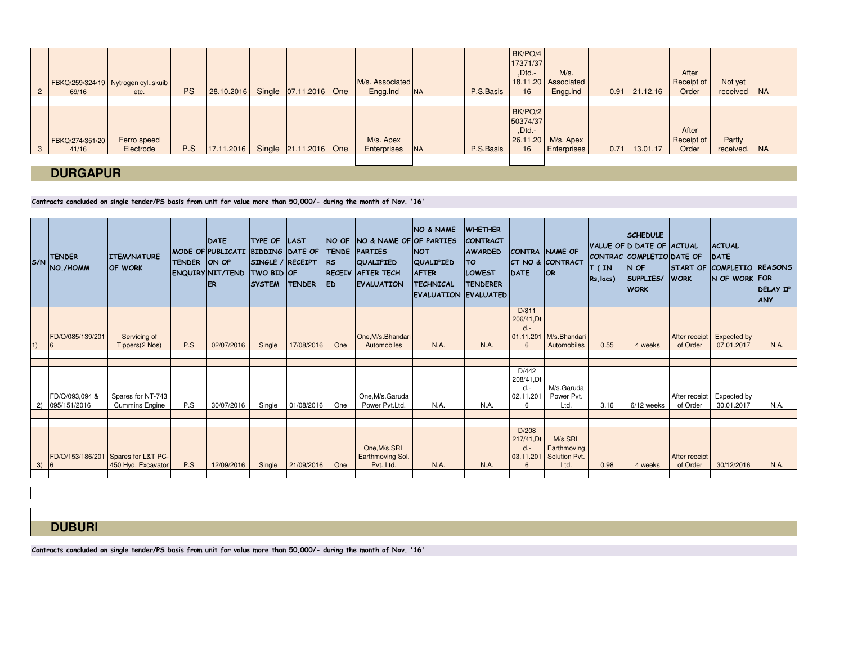|                          | FBKQ/259/324/19 Nytrogen cyl., skuib |           |                                  |                       | M/s. Associated          |           |           | BK/PO/4<br>17371/37<br>.Dtd.-             | M/s.<br>18.11.20 Associated         |      |                 | After<br>Receipt of                 | Not yet             |           |
|--------------------------|--------------------------------------|-----------|----------------------------------|-----------------------|--------------------------|-----------|-----------|-------------------------------------------|-------------------------------------|------|-----------------|-------------------------------------|---------------------|-----------|
| 69/16                    | etc.                                 | <b>PS</b> | 28.10.2016 Single 07.11.2016 One |                       | Engg.Ind                 | <b>NA</b> | P.S.Basis | 16                                        | Engg. Ind                           |      | $0.91$ 21.12.16 | Order                               | received            | <b>NA</b> |
|                          |                                      |           |                                  |                       |                          |           |           |                                           |                                     |      |                 |                                     |                     |           |
| FBKQ/274/351/20<br>41/16 | Ferro speed<br>Electrode             | P.S       | 17.11.2016                       | Single 21.11.2016 One | M/s. Apex<br>Enterprises | <b>NA</b> | P.S.Basis | BK/PO/2<br>50374/37<br>$.$ Dtd. $-$<br>16 | $26.11.20$ M/s. Apex<br>Enterprises | 0.71 | 13.01.17        | After<br><b>Receipt of</b><br>Order | Partly<br>received. | NA        |
|                          |                                      |           |                                  |                       |                          |           |           |                                           |                                     |      |                 |                                     |                     |           |

#### **DURGAPUR**

**Contracts concluded on single tender/PS basis from unit for value more than 50,000/- during the month of Nov. '16'**

| S/N        | <b>TENDER</b><br><b>NO./HOMM</b> | <b>ITEM/NATURE</b><br><b>OF WORK</b>                      | TENDER ON OF | <b>DATE</b><br><b>IMODE OF PUBLICATI</b><br>ENQUIRY NIT/TEND<br>IER. | <b>ITYPE OF LAST</b><br><b>BIDDING DATE OF</b><br>SINGLE / RECEIPT<br><b>TWO BID OF</b><br>SYSTEM TENDER |            | <b>TENDE</b><br><b>RS</b><br><b>RECEIV</b><br><b>IED</b> | NO OF NO & NAME OF OF PARTIES<br><b>PARTIES</b><br><b>QUALIFIED</b><br><b>AFTER TECH</b><br><b>EVALUATION</b> | <b>NO &amp; NAME</b><br><b>NOT</b><br><b>QUALIFIED</b><br><b>AFTER</b><br><b>TECHNICAL</b><br><b>EVALUATION EVALUATED</b> | <b>WHETHER</b><br><b>CONTRACT</b><br><b>AWARDED</b><br><b>TO</b><br><b>LOWEST</b><br><b>TENDERER</b> | DATE                                            | <b>CONTRA NAME OF</b><br>CT NO & CONTRACT<br> OR | $ T $ ( IN<br>Rs, lacs) | <b>SCHEDULE</b><br>VALUE OF D DATE OF ACTUAL<br>CONTRAC COMPLETIO DATE OF<br>IN OF<br>SUPPLIES/<br><b>WORK</b> | <b>WORK</b>               | <b>ACTUAL</b><br><b>DATE</b><br>START OF COMPLETIO REASONS<br>IN OF WORK FOR | <b>DELAY IF</b><br><b>ANY</b> |
|------------|----------------------------------|-----------------------------------------------------------|--------------|----------------------------------------------------------------------|----------------------------------------------------------------------------------------------------------|------------|----------------------------------------------------------|---------------------------------------------------------------------------------------------------------------|---------------------------------------------------------------------------------------------------------------------------|------------------------------------------------------------------------------------------------------|-------------------------------------------------|--------------------------------------------------|-------------------------|----------------------------------------------------------------------------------------------------------------|---------------------------|------------------------------------------------------------------------------|-------------------------------|
| $\vert$ 1) | FD/Q/085/139/201<br>16           | Servicing of<br>Tippers(2 Nos)                            | P.S          | 02/07/2016                                                           | Single                                                                                                   | 17/08/2016 | One                                                      | One.M/s.Bhandari<br>Automobiles                                                                               | N.A.                                                                                                                      | N.A.                                                                                                 | D/811<br>206/41, Dt<br>$d -$<br>$6\overline{6}$ | 01.11.201 M/s. Bhandari<br>Automobiles           | 0.55                    | 4 weeks                                                                                                        | After receipt<br>of Order | Expected by<br>07.01.2017                                                    | N.A.                          |
|            |                                  |                                                           |              |                                                                      |                                                                                                          |            |                                                          |                                                                                                               |                                                                                                                           |                                                                                                      |                                                 |                                                  |                         |                                                                                                                |                           |                                                                              |                               |
|            |                                  |                                                           |              |                                                                      |                                                                                                          |            |                                                          |                                                                                                               |                                                                                                                           |                                                                                                      | D/442                                           |                                                  |                         |                                                                                                                |                           |                                                                              |                               |
|            | FD/Q/093,094 &                   | Spares for NT-743                                         |              |                                                                      |                                                                                                          |            |                                                          | One, M/s. Garuda                                                                                              |                                                                                                                           |                                                                                                      | 208/41, Dt<br>d.-<br>02.11.201                  | M/s.Garuda<br>Power Pvt.                         |                         |                                                                                                                | After receipt             | Expected by                                                                  |                               |
| 2)         | 095/151/2016                     | <b>Cummins Engine</b>                                     | P.S          | 30/07/2016                                                           | Single                                                                                                   | 01/08/2016 | One                                                      | Power Pvt.Ltd.                                                                                                | N.A.                                                                                                                      | N.A.                                                                                                 | 6                                               | Ltd.                                             | 3.16                    | 6/12 weeks                                                                                                     | of Order                  | 30.01.2017                                                                   | N.A.                          |
|            |                                  |                                                           |              |                                                                      |                                                                                                          |            |                                                          |                                                                                                               |                                                                                                                           |                                                                                                      |                                                 |                                                  |                         |                                                                                                                |                           |                                                                              |                               |
| 3)         | 6                                | FD/Q/153/186/201 Spares for L&T PC-<br>450 Hyd. Excavator | P.S          | 12/09/2016                                                           | Single                                                                                                   | 21/09/2016 | One                                                      | One.M/s.SRL<br>Earthmoving Sol.<br>Pvt. Ltd.                                                                  | N.A.                                                                                                                      | <b>N.A.</b>                                                                                          | D/208<br>217/41, Dt<br>$d -$<br>03.11.201<br>6  | M/s.SRL<br>Earthmoving<br>Solution Pvt.<br>Ltd.  | 0.98                    | 4 weeks                                                                                                        | After receipt<br>of Order | 30/12/2016                                                                   | <b>N.A.</b>                   |

#### **DUBURI**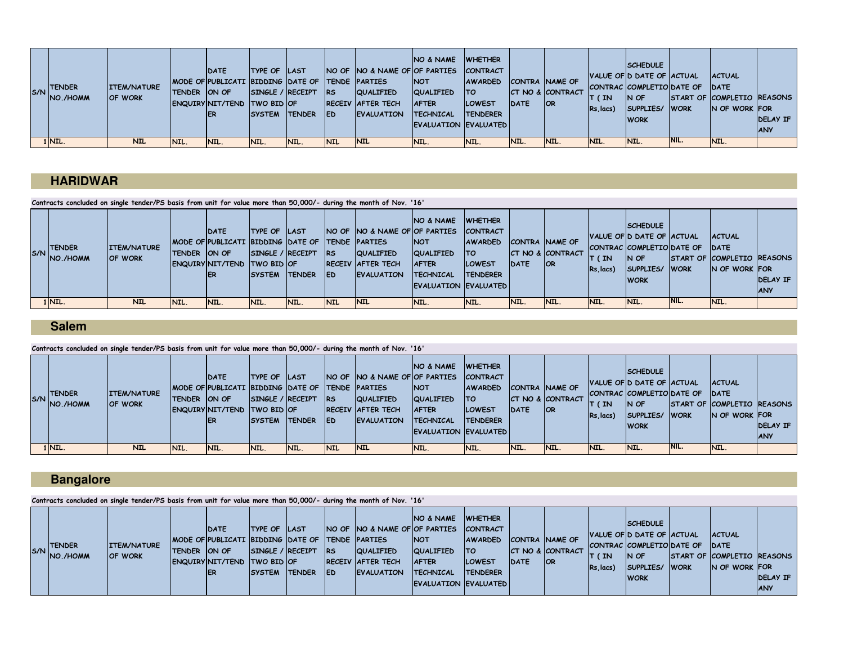|     | <b>TENDER</b> | <b>ITEM/NATURE</b> |                     | <b>IDATE</b><br>MODE OF PUBLICATI BIDDING DATE OF | <b>ITYPE OF LAST</b>    |               |            | NO OF INO & NAME OF OF PARTIES<br><b>ITENDE PARTIES</b> | <b>NO &amp; NAME</b><br><b>NOT</b> | <b>WHETHER</b><br><b>CONTRACT</b><br><b>AWARDED</b> |             | <b>CONTRA INAME OF</b> |           | <b>SCHEDULE</b><br>VALUE OF D DATE OF ACTUAL<br>CONTRAC COMPLETIO DATE OF |             | <b>ACTUAL</b><br><b>IDATE</b> |                 |
|-----|---------------|--------------------|---------------------|---------------------------------------------------|-------------------------|---------------|------------|---------------------------------------------------------|------------------------------------|-----------------------------------------------------|-------------|------------------------|-----------|---------------------------------------------------------------------------|-------------|-------------------------------|-----------------|
| S/N | INO./HOMM     | <b>OF WORK</b>     | <b>TENDER ON OF</b> |                                                   | <b>SINGLE / RECEIPT</b> |               | <b>IRS</b> | <b>QUALIFIED</b>                                        | <b>QUALIFIED</b>                   | <b>ITO</b>                                          |             | ICT NO & CONTRACT      | T ( IN    | N OF                                                                      |             | START OF COMPLETIO REASONS    |                 |
|     |               |                    |                     | <b>ENQUIRY NIT/TEND TWO BID OF</b>                |                         |               |            | <b>RECEIV AFTER TECH</b>                                | <b>AFTER</b>                       | <b>LOWEST</b>                                       | <b>DATE</b> | OR                     | Rs, lacs) | <b>SUPPLIES/</b>                                                          | <b>WORK</b> | IN OF WORK FOR                |                 |
|     |               |                    |                     | IER                                               | <b>ISYSTEM</b>          | <b>TENDER</b> | <b>IED</b> | <b>IEVALUATION</b>                                      | <b>TECHNICAL</b>                   | <b>TENDERER</b>                                     |             |                        |           | <b>WORK</b>                                                               |             |                               | <b>DELAY IF</b> |
|     |               |                    |                     |                                                   |                         |               |            |                                                         | <b>EVALUATION EVALUATED</b>        |                                                     |             |                        |           |                                                                           |             |                               | <b>ANY</b>      |
|     |               |                    |                     |                                                   |                         |               |            |                                                         |                                    |                                                     |             |                        |           |                                                                           |             |                               |                 |
|     | INIL.         | <b>NIL</b>         | NIL.                | NIL.                                              | NIL.                    | NIL.          | <b>NIL</b> | <b>NIL</b>                                              | NIL.                               | NIL.                                                | NIL.        | NIL.                   | NIL.      | NIL.                                                                      | INIL.       | NIL.                          |                 |

#### **HARIDWAR**

**Contracts concluded on single tender/PS basis from unit for value more than 50,000/- during the month of Nov. '16'**

| S/N TENDER<br>INO./HOMM | <b>ITEM/NATURE</b><br><b>OF WORK</b> | TENDER ON OF | <b>DATE</b><br>MODE OF PUBLICATI BIDDING DATE OF<br><b>ENQUIRY NIT/TEND TWO BID OF</b><br>ER | <b>ITYPE OF LAST</b><br><b>SINGLE / RECEIPT</b><br><b>ISYSTEM ITENDER</b> |       | <b>IRS</b><br><b>IED</b> | NO OF INO & NAME OF OF PARTIES<br><b>TENDE PARTIES</b><br><b>QUALIFIED</b><br><b>RECEIV AFTER TECH</b><br><b>IEVALUATION</b> | <b>NO &amp; NAME</b><br><b>NOT</b><br><b>QUALIFIED</b><br><b>AFTER</b><br><b>TECHNICAL</b><br>EVALUATION EVALUATED | <b>WHETHER</b><br><b>CONTRACT</b><br><b>AWARDED</b><br>ITO.<br><b>LOWEST</b><br><b>TENDERER</b> | <b>DATE</b> | <b>CONTRA INAME OF</b><br>ICT NO & CONTRACT<br> OR | T(TN)<br>Rs, lacs) | <b>SCHEDULE</b><br>VALUE OF D DATE OF ACTUAL<br>CONTRAC COMPLETIO DATE OF<br>IN OF<br><b>SUPPLIES/</b><br><b>WORK</b> | <b>WORK</b> | <b>ACTUAL</b><br><b>IDATE</b><br>START OF COMPLETIO REASONS<br>IN OF WORK FOR | <b>DELAY IF</b><br><b>ANY</b> |
|-------------------------|--------------------------------------|--------------|----------------------------------------------------------------------------------------------|---------------------------------------------------------------------------|-------|--------------------------|------------------------------------------------------------------------------------------------------------------------------|--------------------------------------------------------------------------------------------------------------------|-------------------------------------------------------------------------------------------------|-------------|----------------------------------------------------|--------------------|-----------------------------------------------------------------------------------------------------------------------|-------------|-------------------------------------------------------------------------------|-------------------------------|
| 1 NIL.                  | <b>NIL</b>                           | NIL          | NIL.                                                                                         | NIL.                                                                      | INIL. | <b>NIL</b>               | <b>INIL</b>                                                                                                                  | NIL.                                                                                                               | NIL.                                                                                            | NIL.        | NIL.                                               | NIL.               | NIL.                                                                                                                  | INIL.       | NIL.                                                                          |                               |

#### **Salem**

**Contracts concluded on single tender/PS basis from unit for value more than 50,000/- during the month of Nov. '16'**

| S/N | <b>TENDER</b><br>INO./HOMM | <b>ITEM/NATURE</b><br><b>OF WORK</b> | TENDER ON OF | <b>IDATE</b><br>MODE OF PUBLICATI BIDDING DATE OF TENDE PARTIES<br><b>ENQUIRY NIT/TEND TWO BID OF</b><br>ER | <b>ITYPE OF LAST</b><br><b>SINGLE / RECEIPT</b><br><b>ISYSTEM TENDER</b> |      | <b>IRS</b><br><b>IED</b> | <b>NO OF INO &amp; NAME OF OF PARTIES</b><br><b>QUALIFIED</b><br><b>RECEIV AFTER TECH</b><br><b>IEVALUATION</b> | <b>NO &amp; NAME</b><br><b>NOT</b><br><b>QUALIFIED</b><br><b>AFTER</b><br><b>TECHNICAL</b><br>EVALUATION EVALUATED | <b>WHETHER</b><br><b>CONTRACT</b><br><b>AWARDED</b><br>ITO.<br><b>LOWEST</b><br><b>TENDERER</b> | <b>DATE</b> | <b>CONTRA INAME OF</b><br><b>CT NO &amp; CONTRACT</b><br> OR | T ( IN<br>Rs, lacs) | <b>SCHEDULE</b><br>VALUE OFID DATE OF LACTUAL<br>CONTRAC COMPLETIO DATE OF<br>IN OF<br>SUPPLIES/<br><b>WORK</b> | <b>WORK</b> | <b>ACTUAL</b><br><b>IDATE</b><br>START OF COMPLETIO REASONS<br>IN OF WORK FOR | <b>DELAY IF</b><br><b>ANY</b> |
|-----|----------------------------|--------------------------------------|--------------|-------------------------------------------------------------------------------------------------------------|--------------------------------------------------------------------------|------|--------------------------|-----------------------------------------------------------------------------------------------------------------|--------------------------------------------------------------------------------------------------------------------|-------------------------------------------------------------------------------------------------|-------------|--------------------------------------------------------------|---------------------|-----------------------------------------------------------------------------------------------------------------|-------------|-------------------------------------------------------------------------------|-------------------------------|
|     | 1 NIL.                     | <b>NIL</b>                           | NIL.         | NIL.                                                                                                        | INIL.                                                                    | NIL. | <b>NIL</b>               | <b>NIL</b>                                                                                                      | NIL.                                                                                                               | NIL.                                                                                            | NIL.        | NIL.                                                         | NIL.                | NIL.                                                                                                            | INIL.       | NIL.                                                                          |                               |

#### **Bangalore**

|     |               |                    |                     |                                                 |                         |               |           |                                | <b>NO &amp; NAME</b>        | <b>WHETHER</b>  |             |                        |           | <b>SCHEDULE</b>                |             |                            |            |
|-----|---------------|--------------------|---------------------|-------------------------------------------------|-------------------------|---------------|-----------|--------------------------------|-----------------------------|-----------------|-------------|------------------------|-----------|--------------------------------|-------------|----------------------------|------------|
|     |               |                    |                     | <b>DATE</b>                                     | <b>ITYPE OF LAST</b>    |               |           | NO OF INO & NAME OF OF PARTIES |                             | <b>CONTRACT</b> |             |                        |           |                                |             |                            |            |
|     |               |                    |                     | MODE OF PUBLICATI BIDDING DATE OF TENDE PARTIES |                         |               |           |                                | <b>NOT</b>                  | <b>AWARDED</b>  |             | <b>CONTRA INAME OF</b> |           | VALUE OF D DATE OF ACTUAL      |             | <b>ACTUAL</b>              |            |
| S/N | <b>TENDER</b> | <b>ITEM/NATURE</b> | <b>TENDER ON OF</b> |                                                 |                         |               | <b>RS</b> | <b>OUALIFIED</b>               |                             |                 |             | ICT NO & CONTRACT      |           | CONTRAC COMPLETIO DATE OF DATE |             |                            |            |
|     | INO./HOMM     | <b>OF WORK</b>     |                     |                                                 | <b>SINGLE / RECEIPT</b> |               |           |                                | <b>QUALIFIED</b>            | <b>ITO</b>      |             |                        | (IN)      | IN OF                          |             | START OF COMPLETIO REASONS |            |
|     |               |                    |                     | <b>ENQUIRY NIT/TEND TWO BID OF</b>              |                         |               |           | <b>RECEIV AFTER TECH</b>       | <b>AFTER</b>                | <b>LOWEST</b>   | <b>DATE</b> | OR                     |           | SUPPLIES/                      | <b>WORK</b> | IN OF WORK FOR             |            |
|     |               |                    |                     | IER                                             | <b>SYSTEM</b>           | <b>TENDER</b> | ED        | <b>IEVALUATION</b>             | <b>TECHNICAL</b>            | <b>TENDERER</b> |             |                        | Rs, lacs) |                                |             |                            |            |
|     |               |                    |                     |                                                 |                         |               |           |                                | <b>EVALUATION EVALUATED</b> |                 |             |                        |           | <b>WORK</b>                    |             |                            | DELAY IF   |
|     |               |                    |                     |                                                 |                         |               |           |                                |                             |                 |             |                        |           |                                |             |                            | <b>ANY</b> |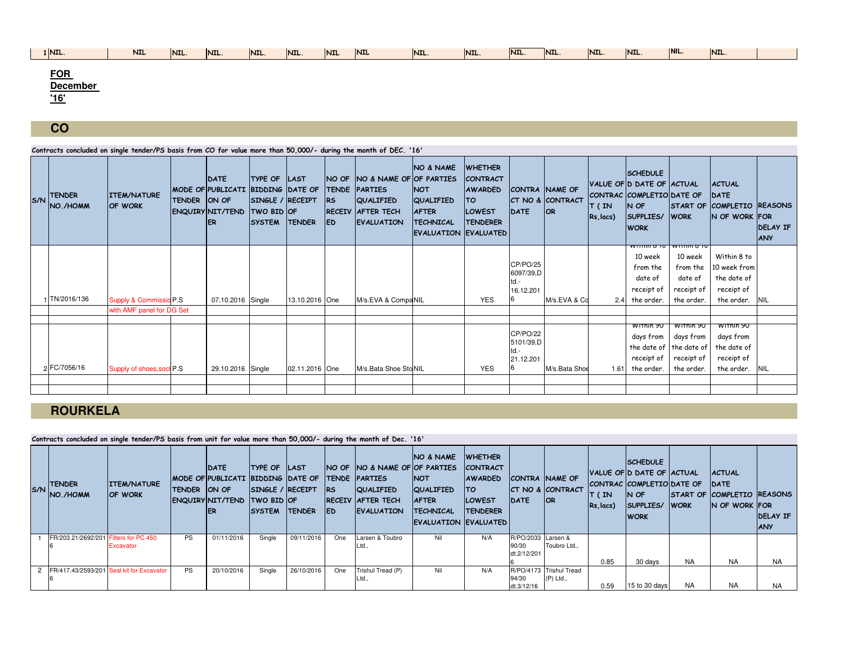| 1 NIL      | <b>NIL</b> | NIL. | NIL. | <b>NIL</b> | NIL. | <b>NIL</b> | <b>NIL</b> | <b>NIL</b> | <b>NIL</b> | NIL. | NIL. | <b>NIL</b> | NIL. | <b>NIL.</b> | NIL. |  |
|------------|------------|------|------|------------|------|------------|------------|------------|------------|------|------|------------|------|-------------|------|--|
|            |            |      |      |            |      |            |            |            |            |      |      |            |      |             |      |  |
| <b>FOR</b> |            |      |      |            |      |            |            |            |            |      |      |            |      |             |      |  |

#### <u>FOR</u> **December '16'**

**CO**

#### **Contracts concluded on single tender/PS basis from CO for value more than 50,000/- during the month of DEC. '16'**

| S/N | <b>TENDER</b><br>INO./HOMM | <b>ITEM/NATURE</b><br><b>OF WORK</b> | TENDER ON OF | DATE<br>MODE OF PUBLICATI BIDDING DATE OF<br><b>ENQUIRY NIT/TEND TWO BID OF</b><br><b>IER</b> | <b>TYPE OF LAST</b><br><b>SINGLE / RECEIPT</b><br><b>SYSTEM</b> | <b>TENDER</b>  | <b>RS</b><br><b>IED</b> | NO OF NO & NAME OF OF PARTIES<br>TENDE PARTIES<br><b>QUALIFIED</b><br><b>RECEIV AFTER TECH</b><br><b>EVALUATION</b> | NO & NAME<br><b>NOT</b><br><b>QUALIFIED</b><br><b>AFTER</b><br><b>TECHNICAL</b><br><b>EVALUATION EVALUATED</b> | <b>WHETHER</b><br><b>CONTRACT</b><br><b>AWARDED</b><br>ITO.<br><b>LOWEST</b><br><b>TENDERER</b> | <b>DATE</b>                  | CONTRA NAME OF<br>CT NO & CONTRACT<br><b>OR</b> | $ T $ ( IN<br>Rs, lacs) | <b>SCHEDULE</b><br>VALUE OF D DATE OF ACTUAL<br>CONTRAC COMPLETIO DATE OF<br>IN OF<br>SUPPLIES/<br><b>WORK</b> | <b>WORK</b>                             | <b>ACTUAL</b><br>DATE<br>START OF COMPLETIO REASONS<br>IN OF WORK FOR | <b>DELAY IF</b><br><b>ANY</b> |
|-----|----------------------------|--------------------------------------|--------------|-----------------------------------------------------------------------------------------------|-----------------------------------------------------------------|----------------|-------------------------|---------------------------------------------------------------------------------------------------------------------|----------------------------------------------------------------------------------------------------------------|-------------------------------------------------------------------------------------------------|------------------------------|-------------------------------------------------|-------------------------|----------------------------------------------------------------------------------------------------------------|-----------------------------------------|-----------------------------------------------------------------------|-------------------------------|
|     |                            |                                      |              |                                                                                               |                                                                 |                |                         |                                                                                                                     |                                                                                                                |                                                                                                 | CP/PO/25                     |                                                 |                         | 10 week                                                                                                        | <u>WITHIN OTO WITHIN OTO</u><br>10 week | Within 8 to                                                           |                               |
|     |                            |                                      |              |                                                                                               |                                                                 |                |                         |                                                                                                                     |                                                                                                                |                                                                                                 | 6097/39,D<br>td.-            |                                                 |                         | from the<br>date of                                                                                            | from the<br>date of                     | 10 week from<br>the date of                                           |                               |
|     |                            |                                      |              |                                                                                               |                                                                 |                |                         |                                                                                                                     |                                                                                                                |                                                                                                 | 16.12.201                    |                                                 |                         | receipt of                                                                                                     | receipt of                              | receipt of                                                            |                               |
|     | TN/2016/136                | Supply & Commissio P.S.              |              | 07.10.2016 Single                                                                             |                                                                 | 13.10.2016 One |                         | M/s.EVA & Compa NIL                                                                                                 |                                                                                                                | <b>YES</b>                                                                                      |                              | M/s.EVA & Co                                    | 2.4                     | the order.                                                                                                     | the order.                              | the order. NIL                                                        |                               |
|     |                            | with AMF panel for DG Set            |              |                                                                                               |                                                                 |                |                         |                                                                                                                     |                                                                                                                |                                                                                                 |                              |                                                 |                         |                                                                                                                |                                         |                                                                       |                               |
|     |                            |                                      |              |                                                                                               |                                                                 |                |                         |                                                                                                                     |                                                                                                                |                                                                                                 |                              |                                                 |                         | <b>WITNIN YU</b>                                                                                               | <b>WITNIN YU</b>                        | VVITNIN YU                                                            |                               |
|     |                            |                                      |              |                                                                                               |                                                                 |                |                         |                                                                                                                     |                                                                                                                |                                                                                                 | <b>CP/PO/22</b><br>5101/39,D |                                                 |                         | days from                                                                                                      | days from                               | days from                                                             |                               |
|     |                            |                                      |              |                                                                                               |                                                                 |                |                         |                                                                                                                     |                                                                                                                |                                                                                                 | td.-                         |                                                 |                         |                                                                                                                | the date of the date of                 | the date of                                                           |                               |
|     |                            |                                      |              |                                                                                               |                                                                 |                |                         |                                                                                                                     |                                                                                                                |                                                                                                 | 21.12.201                    |                                                 |                         | receipt of                                                                                                     | receipt of                              | receipt of                                                            |                               |
|     | 2 FC/7056/16               | Supply of shoes, sock P.S.           |              | 29.10.2016 Single                                                                             |                                                                 | 02.11.2016 One |                         | M/s.Bata Shoe Sto NIL                                                                                               |                                                                                                                | <b>YES</b>                                                                                      |                              | M/s.Bata Shoe                                   | 1.61                    | the order.                                                                                                     | the order.                              | the order.                                                            | <b>NIL</b>                    |
|     |                            |                                      |              |                                                                                               |                                                                 |                |                         |                                                                                                                     |                                                                                                                |                                                                                                 |                              |                                                 |                         |                                                                                                                |                                         |                                                                       |                               |
|     |                            |                                      |              |                                                                                               |                                                                 |                |                         |                                                                                                                     |                                                                                                                |                                                                                                 |                              |                                                 |                         |                                                                                                                |                                         |                                                                       |                               |

# **ROURKELA**

| S/N | <b>TENDER</b><br>INO./HOMM            | <b>ITEM/NATURE</b><br><b>OF WORK</b>        | TENDER ON OF | <b>DATE</b><br>IMODE OFIPUBLICATI IBIDDING IDATE OF<br><b>ENQUIRY NIT/TEND TWO BID OF</b><br>IER | <b>ITYPE OF LAST</b><br><b>SINGLE / RECEIPT</b><br><b>SYSTEM TENDER</b> |            | <b>RS</b><br><b>IED</b> | NO OF INO & NAME OF OF PARTIES<br><b>ITENDE PARTIES</b><br><b>QUALIFIED</b><br><b>RECEIV AFTER TECH</b><br><b>IEVALUATION</b> | <b>NO &amp; NAME</b><br><b>INOT</b><br><b>QUALIFIED</b><br><b>AFTER</b><br><b>TECHNICAL</b><br><b>EVALUATION EVALUATED</b> | <b>WHETHER</b><br><b>CONTRACT</b><br><b>AWARDED</b><br>ITO.<br><b>LOWEST</b><br><b>TENDERER</b> | <b>IDATE</b>                               | <b>CONTRA INAME OF</b><br>ICT NO & ICONTRACT<br> OR | T (IN<br>Rs, lacs) | <b>SCHEDULE</b><br>VALUE OFID DATE OF LACTUAL<br>CONTRAC COMPLETIO DATE OF<br>IN OF<br>SUPPLIES/<br><b>WORK</b> | <b>IWORK</b> | <b>ACTUAL</b><br><b>IDATE</b><br><b>START OF COMPLETIO REASONS</b><br>IN OF WORK FOR | DELAY IF<br><b>ANY</b> |
|-----|---------------------------------------|---------------------------------------------|--------------|--------------------------------------------------------------------------------------------------|-------------------------------------------------------------------------|------------|-------------------------|-------------------------------------------------------------------------------------------------------------------------------|----------------------------------------------------------------------------------------------------------------------------|-------------------------------------------------------------------------------------------------|--------------------------------------------|-----------------------------------------------------|--------------------|-----------------------------------------------------------------------------------------------------------------|--------------|--------------------------------------------------------------------------------------|------------------------|
|     | FR/203.21/2692/201 Filters for PC 450 | <b>Excavator</b>                            | PS           | 01/11/2016                                                                                       | Single                                                                  | 09/11/2016 | One                     | Larsen & Toubro<br>Ltd.,                                                                                                      | Nil                                                                                                                        | N/A                                                                                             | R/PO/2033 Larsen &<br>90/30<br>dt.2/12/201 | Toubro Ltd.,                                        | 0.85               | 30 days                                                                                                         | <b>NA</b>    | <b>NA</b>                                                                            | <b>NA</b>              |
|     |                                       | 2 FR/417.43/2593/201 Seal kit for Excavator | PS           | 20/10/2016                                                                                       | Single                                                                  | 26/10/2016 | One                     | Trishul Tread (P)<br>Ltd                                                                                                      | Nil                                                                                                                        | N/A                                                                                             | 94/30<br>dt.3/12/16                        | R/PO/4173 Trishul Tread<br>(P) Ltd.,                | 0.59               | 15 to 30 days                                                                                                   | <b>NA</b>    | <b>NA</b>                                                                            | <b>NA</b>              |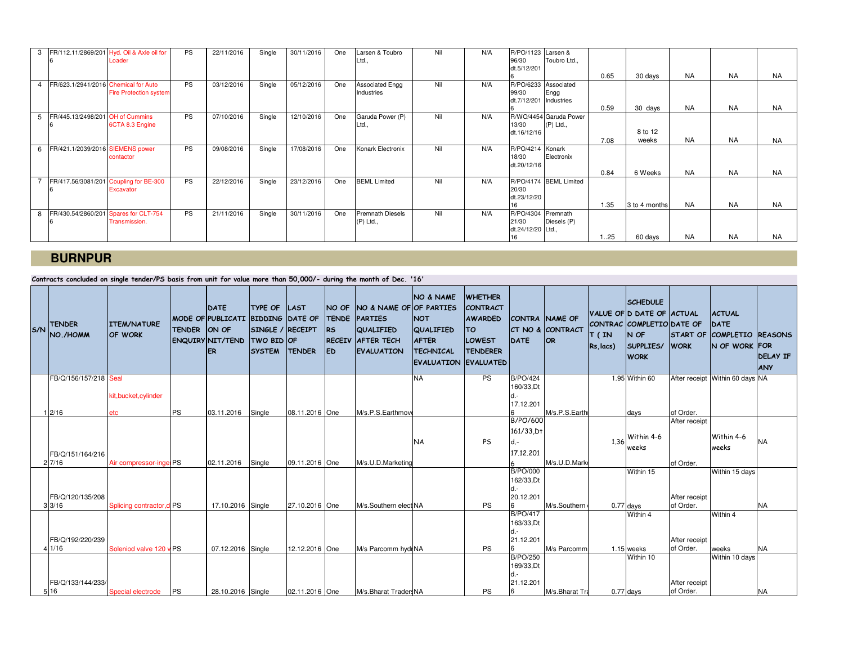|   |                                         | 3 FR/112.11/2869/201 Hyd. Oil & Axle oil for | PS        | 22/11/2016 | Single | 30/11/2016 | One | Larsen & Toubro         | Nil | N/A | R/PO/1123 Larsen &     |                        |      |               |           |           |           |
|---|-----------------------------------------|----------------------------------------------|-----------|------------|--------|------------|-----|-------------------------|-----|-----|------------------------|------------------------|------|---------------|-----------|-----------|-----------|
|   |                                         | Loader                                       |           |            |        |            |     | Ltd.,                   |     |     | 96/30                  | Toubro Ltd.,           |      |               |           |           |           |
|   |                                         |                                              |           |            |        |            |     |                         |     |     | dt.5/12/201            |                        |      |               |           |           |           |
|   |                                         |                                              |           |            |        |            |     |                         |     |     |                        |                        | 0.65 | 30 days       | <b>NA</b> | <b>NA</b> | <b>NA</b> |
|   | FR/623.1/2941/2016 Chemical for Auto    |                                              | <b>PS</b> | 03/12/2016 | Single | 05/12/2016 | One | <b>Associated Engg</b>  | Nil | N/A | R/PO/6233 Associated   |                        |      |               |           |           |           |
|   |                                         | <b>Fire Protection system</b>                |           |            |        |            |     | Industries              |     |     | 99/30                  | Engg                   |      |               |           |           |           |
|   |                                         |                                              |           |            |        |            |     |                         |     |     | dt.7/12/201 Industries |                        |      |               |           |           |           |
|   |                                         |                                              |           |            |        |            |     |                         |     |     |                        |                        | 0.59 | 30 days       | <b>NA</b> | <b>NA</b> | <b>NA</b> |
| 5 | FR/445.13/2498/201 OH of Cummins        |                                              | PS        | 07/10/2016 | Single | 12/10/2016 | One | Garuda Power (P)        | Nil | N/A |                        | R/WO/4454 Garuda Power |      |               |           |           |           |
|   |                                         | 6CTA 8.3 Engine                              |           |            |        |            |     | Ltd.,                   |     |     | 13/30                  | $(P)$ Ltd.,            |      |               |           |           |           |
|   |                                         |                                              |           |            |        |            |     |                         |     |     | dt.16/12/16            |                        |      | 8 to 12       |           |           |           |
|   |                                         |                                              |           |            |        |            |     |                         |     |     |                        |                        | 7.08 | weeks         | <b>NA</b> | <b>NA</b> | <b>NA</b> |
|   | 6 FR/421.1/2039/2016 SIEMENS power      |                                              | PS        | 09/08/2016 | Single | 17/08/2016 | One | Konark Electronix       | Nil | N/A | R/PO/4214 Konark       |                        |      |               |           |           |           |
|   |                                         | contactor                                    |           |            |        |            |     |                         |     |     | 18/30                  | Electronix             |      |               |           |           |           |
|   |                                         |                                              |           |            |        |            |     |                         |     |     | dt.20/12/16            |                        |      |               |           |           |           |
|   |                                         |                                              |           |            |        |            |     |                         |     |     |                        |                        | 0.84 | 6 Weeks       | <b>NA</b> | <b>NA</b> | <b>NA</b> |
|   | FR/417.56/3081/201 Coupling for BE-300  |                                              | PS        | 22/12/2016 | Single | 23/12/2016 | One | <b>BEML Limited</b>     | Nil | N/A |                        | R/PO/4174 BEML Limited |      |               |           |           |           |
|   |                                         | Excavator                                    |           |            |        |            |     |                         |     |     | 20/30                  |                        |      |               |           |           |           |
|   |                                         |                                              |           |            |        |            |     |                         |     |     | dt.23/12/20            |                        |      |               |           |           |           |
|   |                                         |                                              |           |            |        |            |     |                         |     |     | 16                     |                        | 1.35 | 3 to 4 months | <b>NA</b> | <b>NA</b> | <b>NA</b> |
|   | 8 FR/430.54/2860/201 Spares for CLT-754 |                                              | PS        | 21/11/2016 | Single | 30/11/2016 | One | <b>Premnath Diesels</b> | Nil | N/A | R/PO/4304 Premnath     |                        |      |               |           |           |           |
|   |                                         | Transmission.                                |           |            |        |            |     | (P) Ltd.,               |     |     | 21/30                  | Diesels (P)            |      |               |           |           |           |
|   |                                         |                                              |           |            |        |            |     |                         |     |     | dt.24/12/20 Ltd.,      |                        |      |               |           |           |           |
|   |                                         |                                              |           |            |        |            |     |                         |     |     | 16                     |                        | .25  | 60 days       | <b>NA</b> | <b>NA</b> | <b>NA</b> |

#### **BURNPUR**

| S/N | <b>TENDER</b><br>NO./HOMM  | <b>ITEM/NATURE</b><br><b>OF WORK</b> | TENDER ON OF | <b>DATE</b><br><b>MODE OF PUBLICATI</b><br><b>ENQUIRY NIT/TEND</b><br><b>IER</b> | <b>TYPE OF LAST</b><br><b>BIDDING DATE OF</b><br>SINGLE / RECEIPT<br><b>TWO BID OF</b><br>SYSTEM TENDER |                | <b>TENDE</b><br><b>RS</b><br><b>RECEIV</b><br><b>IED</b> | NO OF NO & NAME OF OF PARTIES<br><b>PARTIES</b><br><b>QUALIFIED</b><br><b>AFTER TECH</b><br><b>EVALUATION</b> | <b>NO &amp; NAME</b><br><b>NOT</b><br><b>QUALIFIED</b><br><b>AFTER</b><br><b>TECHNICAL</b><br><b>EVALUATION EVALUATED</b> | <b>WHETHER</b><br><b>CONTRACT</b><br><b>AWARDED</b><br><b>TO</b><br><b>LOWEST</b><br><b>TENDERER</b> | <b>DATE</b>                                       | CONTRA NAME OF<br>CT NO & CONTRACT<br><b>OR</b> | T(N)<br>Rs, lacs) | <b>SCHEDULE</b><br>VALUE OF D DATE OF ACTUAL<br>CONTRAC COMPLETIO DATE OF<br>IN OF<br>SUPPLIES/<br><b>WORK</b> | <b>WORK</b>                | <b>ACTUAL</b><br><b>DATE</b><br><b>START OF COMPLETIO REASONS</b><br>IN OF WORK FOR | <b>DELAY IF</b><br><b>ANY</b> |
|-----|----------------------------|--------------------------------------|--------------|----------------------------------------------------------------------------------|---------------------------------------------------------------------------------------------------------|----------------|----------------------------------------------------------|---------------------------------------------------------------------------------------------------------------|---------------------------------------------------------------------------------------------------------------------------|------------------------------------------------------------------------------------------------------|---------------------------------------------------|-------------------------------------------------|-------------------|----------------------------------------------------------------------------------------------------------------|----------------------------|-------------------------------------------------------------------------------------|-------------------------------|
|     | FB/Q/156/157/218 Seal      |                                      |              |                                                                                  |                                                                                                         |                |                                                          |                                                                                                               | <b>NA</b>                                                                                                                 | <b>PS</b>                                                                                            | <b>B/PO/424</b>                                   |                                                 |                   | 1.95 Within 60                                                                                                 |                            | After receipt Within 60 days NA                                                     |                               |
|     |                            | kit, bucket, cylinder                |              |                                                                                  |                                                                                                         |                |                                                          |                                                                                                               |                                                                                                                           |                                                                                                      | 160/33, Dt<br>d.-                                 |                                                 |                   |                                                                                                                |                            |                                                                                     |                               |
|     |                            |                                      |              |                                                                                  |                                                                                                         |                |                                                          |                                                                                                               |                                                                                                                           |                                                                                                      | 17.12.201                                         |                                                 |                   |                                                                                                                |                            |                                                                                     |                               |
|     | 2/16                       | etc                                  | <b>PS</b>    | 03.11.2016                                                                       | Single                                                                                                  | 08.11.2016 One |                                                          | M/s.P.S.Earthmov                                                                                              |                                                                                                                           |                                                                                                      |                                                   | M/s.P.S.Earth                                   |                   | days                                                                                                           | of Order.                  |                                                                                     |                               |
|     | FB/Q/151/164/216           |                                      |              |                                                                                  |                                                                                                         |                |                                                          |                                                                                                               | <b>NA</b>                                                                                                                 | P <sub>S</sub>                                                                                       | B/PO/600<br>161/33, Dt<br>d.-<br>17.12.201        |                                                 | 1.36              | Within 4-6<br>weeks                                                                                            | After receipt              | Within 4-6<br>weeks                                                                 | <b>NA</b>                     |
|     | 2 7/16                     | Air compressor-inger PS              |              | 02.11.2016                                                                       | Single                                                                                                  | 09.11.2016 One |                                                          | M/s.U.D.Marketing                                                                                             |                                                                                                                           |                                                                                                      |                                                   | M/s.U.D.Mark                                    |                   |                                                                                                                | of Order.                  |                                                                                     |                               |
|     | FB/Q/120/135/208<br>3 3/16 | Splicing contractor, di PS           |              | 17.10.2016 Single                                                                |                                                                                                         | 27.10.2016 One |                                                          | M/s.Southern elect NA                                                                                         |                                                                                                                           | <b>PS</b>                                                                                            | <b>B/PO/000</b><br>162/33, Dt<br>d.-<br>20.12.201 | M/s.Southern                                    |                   | Within 15<br>$0.77$ days                                                                                       | After receipt<br>of Order. | Within 15 davs                                                                      | <b>NA</b>                     |
|     | FB/Q/192/220/239<br>41/16  | Soleniod valve 120 v PS              |              | 07.12.2016 Single                                                                |                                                                                                         | 12.12.2016 One |                                                          | M/s Parcomm hydi NA                                                                                           |                                                                                                                           | <b>PS</b>                                                                                            | <b>B/PO/417</b><br>163/33, Dt<br>d.-<br>21.12.201 | M/s Parcomm                                     |                   | Within 4<br>1.15 weeks                                                                                         | After receipt<br>of Order. | Within 4<br>weeks                                                                   | <b>NA</b>                     |
|     |                            |                                      |              |                                                                                  |                                                                                                         |                |                                                          |                                                                                                               |                                                                                                                           |                                                                                                      | <b>B/PO/250</b>                                   |                                                 |                   | Within 10                                                                                                      |                            | Within 10 days                                                                      |                               |
|     | FB/Q/133/144/233/          |                                      |              |                                                                                  |                                                                                                         |                |                                                          |                                                                                                               |                                                                                                                           |                                                                                                      | 169/33, Dt<br>d.-<br>21.12.201                    |                                                 |                   |                                                                                                                | After receipt              |                                                                                     |                               |
|     | 16                         | Special electrode                    | <b>IPS</b>   | 28.10.2016 Single                                                                |                                                                                                         | 02.11.2016 One |                                                          | M/s.Bharat Traders NA                                                                                         |                                                                                                                           | PS                                                                                                   |                                                   | M/s.Bharat Tra                                  |                   | $0.77$ days                                                                                                    | of Order.                  |                                                                                     | <b>NA</b>                     |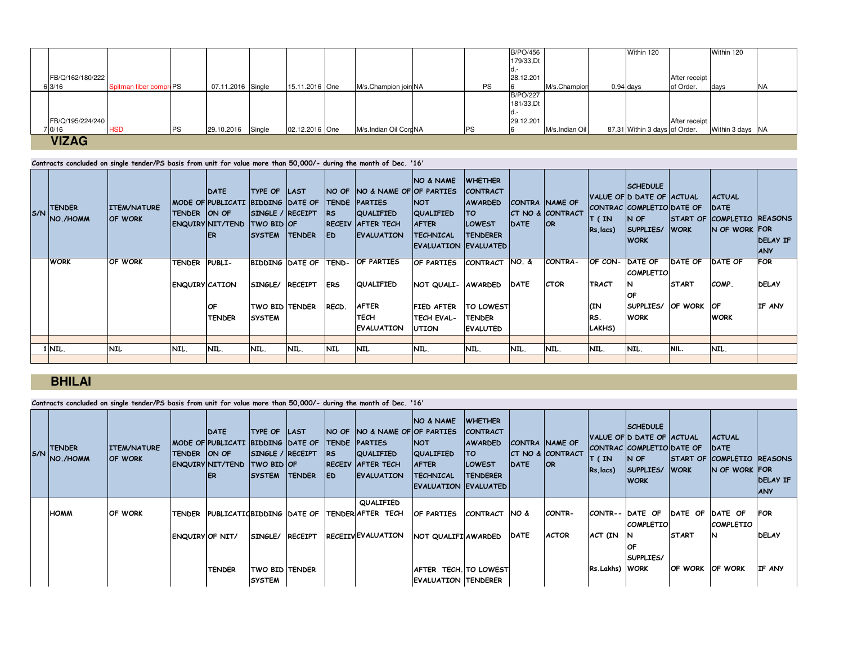|                  |                        |            |                   |        |                |                        |           | <b>B/PO/456</b> |                |             | Within 120                    |               | Within 120       |     |
|------------------|------------------------|------------|-------------------|--------|----------------|------------------------|-----------|-----------------|----------------|-------------|-------------------------------|---------------|------------------|-----|
|                  |                        |            |                   |        |                |                        |           | 179/33, Dt      |                |             |                               |               |                  |     |
|                  |                        |            |                   |        |                |                        |           |                 |                |             |                               |               |                  |     |
| FB/Q/162/180/222 |                        |            |                   |        |                |                        |           | 28.12.201       |                |             |                               | After receipt |                  |     |
| 6 3/16           | Spitman fiber comprePS |            | 07.11.2016 Single |        | 15.11.2016 One | M/s.Champion join NA   | <b>PS</b> |                 | M/s.Champion   | $0.94$ days |                               | of Order.     | days             | INA |
|                  |                        |            |                   |        |                |                        |           | <b>B/PO/227</b> |                |             |                               |               |                  |     |
|                  |                        |            |                   |        |                |                        |           | 181/33, Dt      |                |             |                               |               |                  |     |
|                  |                        |            |                   |        |                |                        |           |                 |                |             |                               |               |                  |     |
| FB/Q/195/224/240 |                        |            |                   |        |                |                        |           | 29.12.201       |                |             |                               | After receipt |                  |     |
| 7 0/16           | <b>HSD</b>             | <b>IPS</b> | 29.10.2016        | Single | 02.12.2016 One | M/s.Indian Oil Corr NA | <b>PS</b> |                 | M/s.Indian Oil |             | 87.31 Within 3 days of Order. |               | Within 3 days NA |     |
| VITAN            |                        |            |                   |        |                |                        |           |                 |                |             |                               |               |                  |     |

**VIZAG**

**Contracts concluded on single tender/PS basis from unit for value more than 50,000/- during the month of Dec. '16'**

| S/N | <b>TENDER</b><br><b>NO./HOMM</b> | <b>ITEM/NATURE</b><br><b>OF WORK</b> | TENDER ON OF          | DATE<br>MODE OF PUBLICATI BIDDING DATE OF<br><b>ENQUIRY NIT/TEND TWO BID OF</b><br><b>IER</b> | <b>TYPE OF LAST</b><br><b>SINGLE / RECEIPT</b><br><b>SYSTEM</b> | <b>TENDER</b>  | <b>IRS</b><br><b>IED</b> | <b>NO OF INO &amp; NAME OF OF PARTIES</b><br><b>TENDE PARTIES</b><br><b>QUALIFIED</b><br><b>RECEIV AFTER TECH</b><br><b>IEVALUATION</b> | <b>NO &amp; NAME</b><br><b>INOT</b><br><b>QUALIFIED</b><br><b>AFTER</b><br><b>TECHNICAL</b><br><b>EVALUATION EVALUATED</b> | <b>WHETHER</b><br><b>CONTRACT</b><br><b>AWARDED</b><br><b>ITO</b><br><b>LOWEST</b><br><b>TENDERER</b> | DATE  | <b>CONTRA NAME OF</b><br><b>CT NO &amp; CONTRACT</b><br> OR | T(N)<br>Rs, lacs) | <b>SCHEDULE</b><br>VALUE OFID DATE OF IACTUAL<br>CONTRAC COMPLETIO DATE OF<br>N OF<br>SUPPLIES/<br><b>WORK</b> | <b>START OF</b><br><b>WORK</b> | <b>ACTUAL</b><br><b>IDATE</b><br>COMPLETIO REASONS<br>IN OF WORK FOR | <b>DELAY IF</b><br><b>ANY</b> |
|-----|----------------------------------|--------------------------------------|-----------------------|-----------------------------------------------------------------------------------------------|-----------------------------------------------------------------|----------------|--------------------------|-----------------------------------------------------------------------------------------------------------------------------------------|----------------------------------------------------------------------------------------------------------------------------|-------------------------------------------------------------------------------------------------------|-------|-------------------------------------------------------------|-------------------|----------------------------------------------------------------------------------------------------------------|--------------------------------|----------------------------------------------------------------------|-------------------------------|
|     | <b>WORK</b>                      | <b>OF WORK</b>                       | <b>TENDER</b>         | <b>PUBLI-</b>                                                                                 | <b>BIDDING DATE OF</b>                                          |                | TEND-                    | <b>OF PARTIES</b>                                                                                                                       | OF PARTIES                                                                                                                 | <b>CONTRACT</b>                                                                                       | NO. & | CONTRA-                                                     | OF CON-           | DATE OF                                                                                                        | DATE OF                        | DATE OF                                                              | <b>FOR</b>                    |
|     |                                  |                                      |                       |                                                                                               |                                                                 |                |                          |                                                                                                                                         |                                                                                                                            |                                                                                                       |       |                                                             |                   | <b>COMPLETIO</b>                                                                                               |                                |                                                                      |                               |
|     |                                  |                                      | <b>ENQUIRY CATION</b> |                                                                                               | SINGLE/                                                         | <b>RECEIPT</b> | <b>IERS</b>              | <b>QUALIFIED</b>                                                                                                                        | NOT QUALI- AWARDED                                                                                                         |                                                                                                       | DATE  | <b>CTOR</b>                                                 | <b>TRACT</b>      |                                                                                                                | <b>START</b>                   | COMP.                                                                | <b>DELAY</b>                  |
|     |                                  |                                      |                       |                                                                                               |                                                                 |                |                          |                                                                                                                                         |                                                                                                                            |                                                                                                       |       |                                                             |                   | OF                                                                                                             |                                |                                                                      |                               |
|     |                                  |                                      |                       | OF                                                                                            | <b>TWO BID TENDER</b>                                           |                | RECD.                    | <b>AFTER</b>                                                                                                                            | <b>FIED AFTER</b>                                                                                                          | <b>TO LOWEST</b>                                                                                      |       |                                                             | (IN               | SUPPLIES/                                                                                                      | OF WORK                        | <b>IOF</b>                                                           | IF ANY                        |
|     |                                  |                                      |                       | <b>TENDER</b>                                                                                 | <b>SYSTEM</b>                                                   |                |                          | <b>TECH</b>                                                                                                                             | <b>TECH EVAL-</b>                                                                                                          | <b>TENDER</b>                                                                                         |       |                                                             | IRS.              | <b>WORK</b>                                                                                                    |                                | <b>WORK</b>                                                          |                               |
|     |                                  |                                      |                       |                                                                                               |                                                                 |                |                          | <b>EVALUATION</b>                                                                                                                       | UTION                                                                                                                      | <b>EVALUTED</b>                                                                                       |       |                                                             | LAKHS)            |                                                                                                                |                                |                                                                      |                               |
|     |                                  |                                      |                       |                                                                                               |                                                                 |                |                          |                                                                                                                                         |                                                                                                                            |                                                                                                       |       |                                                             |                   |                                                                                                                |                                |                                                                      |                               |
|     | I NIL.                           | <b>NIL</b>                           | NIL.                  | NIL.                                                                                          | NIL.                                                            | NIL.           | <b>NIL</b>               | <b>NIL</b>                                                                                                                              | NIL.                                                                                                                       | NIL.                                                                                                  | NIL.  | NIL.                                                        | NIL.              | NIL.                                                                                                           | NIL.                           | NIL.                                                                 |                               |
|     |                                  |                                      |                       |                                                                                               |                                                                 |                |                          |                                                                                                                                         |                                                                                                                            |                                                                                                       |       |                                                             |                   |                                                                                                                |                                |                                                                      |                               |

### **BHILAI**

| S/N | <b>TENDER</b><br>NO./HOMM | <b>ITEM/NATURE</b><br><b>OF WORK</b> | TENDER ON OF           | DATE<br><b>IMODE OF PUBLICATI BIDDING DATE OF</b><br><b>ENQUIRY NIT/TEND TWO BID OF</b><br><b>IER</b> | <b>TYPE OF LAST</b><br><b>SINGLE / RECEIPT</b><br><b>SYSTEM TENDER</b> |                | <b>RS</b><br><b>IED</b> | NO OF NO & NAME OF OF PARTIES<br><b>TENDE PARTIES</b><br><b>QUALIFIED</b><br><b>RECEIV AFTER TECH</b><br><b>EVALUATION</b> | <b>NO &amp; NAME</b><br><b>NOT</b><br><b>QUALIFIED</b><br><b>AFTER</b><br><b>TECHNICAL</b><br>EVALUATION EVALUATED | <b>WHETHER</b><br><b>CONTRACT</b><br><b>AWARDED</b><br>ITO.<br><b>LOWEST</b><br><b>TENDERER</b> | DATE                | <b>CONTRA NAME OF</b><br>ICT NO & ICONTRACT<br> OR | $ T $ ( IN<br>Rs, lacs) | <b>SCHEDULE</b><br>VALUE OFID DATE OF ACTUAL<br>CONTRAC COMPLETIO DATE OF<br>IN OF<br>SUPPLIES/<br><b>WORK</b> | <b>WORK</b>                     | <b>ACTUAL</b><br><b>IDATE</b><br><b>START OF COMPLETIO REASONS</b><br>IN OF WORK FOR | <b>DELAY IF</b><br><b>ANY</b> |
|-----|---------------------------|--------------------------------------|------------------------|-------------------------------------------------------------------------------------------------------|------------------------------------------------------------------------|----------------|-------------------------|----------------------------------------------------------------------------------------------------------------------------|--------------------------------------------------------------------------------------------------------------------|-------------------------------------------------------------------------------------------------|---------------------|----------------------------------------------------|-------------------------|----------------------------------------------------------------------------------------------------------------|---------------------------------|--------------------------------------------------------------------------------------|-------------------------------|
|     | <b>HOMM</b>               | <b>OF WORK</b>                       |                        | TENDER PUBLICATIOBIDDING DATE OF                                                                      |                                                                        |                |                         | QUALIFIED<br>TENDER AFTER TECH<br><b>RECEIIVEVALUATION</b>                                                                 | <b>OF PARTIES</b>                                                                                                  | <b>CONTRACT</b>                                                                                 | NO &<br><b>DATE</b> | CONTR-<br><b>ACTOR</b>                             | ACT (IN                 | CONTR-- DATE OF<br><b>COMPLETIO</b><br>IN.                                                                     | DATE OF DATE OF<br><b>START</b> | <b>COMPLETIO</b>                                                                     | <b>FOR</b><br><b>DELAY</b>    |
|     |                           |                                      | <b>ENQUIRY OF NIT/</b> | <b>TENDER</b>                                                                                         | SINGLE/<br>ITWO BID ITENDER<br><b>SYSTEM</b>                           | <b>RECEIPT</b> |                         |                                                                                                                            | NOT QUALIFI AWARDED<br>AFTER TECH. TO LOWEST<br><b>EVALUATION TENDERER</b>                                         |                                                                                                 |                     |                                                    | Rs.Lakhs) WORK          | IOF<br>SUPPLIES/                                                                                               | <b>OF WORK OF WORK</b>          |                                                                                      | IF ANY                        |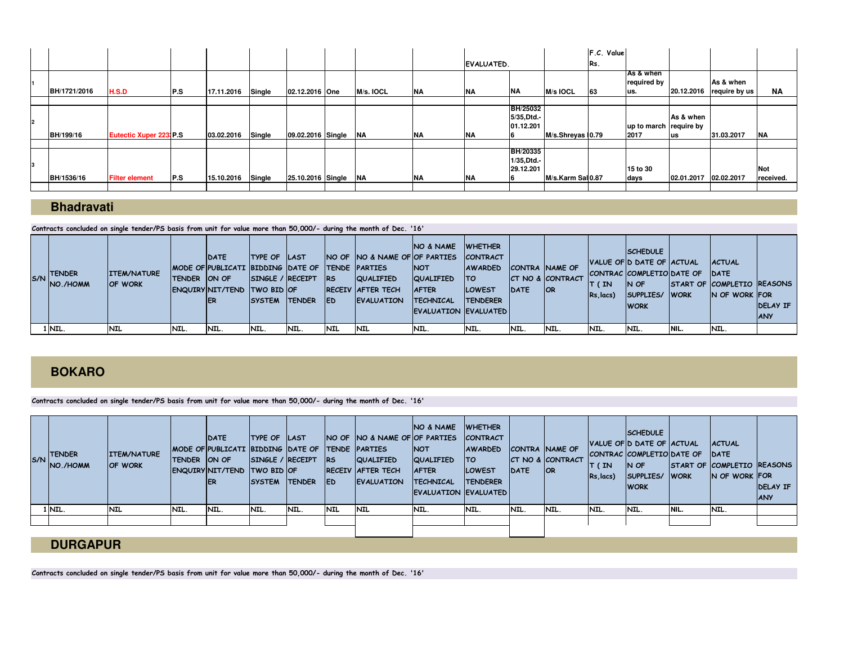|              |              |                                |     |            |        |                   |           |           | EVALUATED. |                                      |                   | IRs. |                                  |            |                            |                  |
|--------------|--------------|--------------------------------|-----|------------|--------|-------------------|-----------|-----------|------------|--------------------------------------|-------------------|------|----------------------------------|------------|----------------------------|------------------|
|              | BH/1721/2016 | H.S.D                          | P.S | 17.11.2016 | Single | 02.12.2016 One    | M/s. IOCL | <b>NA</b> | <b>INA</b> | <b>NA</b>                            | <b>M/s IOCL</b>   | 63   | As & when<br>required by<br>lus. | 20.12.2016 | As & when<br>require by us | <b>NA</b>        |
| $\mathbf{2}$ | BH/199/16    | <b>Eutectic Xuper 223 P.S.</b> |     | 03.02.2016 | Single | 09.02.2016 Single | <b>NA</b> | <b>NA</b> | <b>NA</b>  | BH/25032<br>5/35, Dtd.-<br>01.12.201 | M/s.Shreyas 10.79 |      | up to march require by<br>2017   | As & when  | 31.03.2017                 | <b>NA</b>        |
| 3            | BH/1536/16   | <b>Filter element</b>          | P.S | 15.10.2016 | Single | 25.10.2016 Single | <b>NA</b> | <b>NA</b> | <b>NA</b>  | BH/20335<br>1/35, Dtd.-<br>29.12.201 | M/s.Karm Sal 0.87 |      | 15 to 30<br>days                 | 02.01.2017 | 02.02.2017                 | Not<br>received. |

#### **Bhadravati**

**Contracts concluded on single tender/PS basis from unit for value more than 50,000/- during the month of Dec. '16'**

| S/N | <b>TENDER</b><br>INO./HOMM | <b>ITEM/NATURE</b><br><b>OF WORK</b> | TENDER ION OF | <b>DATE</b><br>MODE OF PUBLICATI BIDDING DATE OF TENDE PARTIES<br><b>ENQUIRY NIT/TEND TWO BID OF</b><br><b>IER</b> | <b>TYPE OF LAST</b><br>SINGLE / RECEIPT<br><b>ISYSTEM TENDER</b> |      | <b>IRS</b><br><b>IED</b> | NO OF INO & NAME OF OF PARTIES CONTRACT<br><b>QUALIFIED</b><br><b>RECEIV AFTER TECH</b><br><b>IEVALUATION</b> | <b>NO &amp; NAME</b><br><b>INOT</b><br><b>QUALIFIED</b><br><b>AFTER</b><br><b>TECHNICAL</b><br>EVALUATION EVALUATED | <b>WHETHER</b><br><b>AWARDED</b><br><b>ITO</b><br><b>LOWEST</b><br><b>TENDERER</b> | <b>DATE</b> | CONTRA NAME OF<br>ICT NO & CONTRACT<br> OR | $ T $ ( IN<br>Rs, lacs) | <b>SCHEDULE</b><br><b>IVALUE OFID DATE OF LACTUAL</b><br>CONTRAC COMPLETIO DATE OF DATE<br>IN OF<br>SUPPLIES/<br><b>WORK</b> | <b>WORK</b> | <b>ACTUAL</b><br><b>START OF COMPLETIO REASONS</b><br>IN OF WORK FOR | <b>IDELAY IF</b><br><b>ANY</b> |
|-----|----------------------------|--------------------------------------|---------------|--------------------------------------------------------------------------------------------------------------------|------------------------------------------------------------------|------|--------------------------|---------------------------------------------------------------------------------------------------------------|---------------------------------------------------------------------------------------------------------------------|------------------------------------------------------------------------------------|-------------|--------------------------------------------|-------------------------|------------------------------------------------------------------------------------------------------------------------------|-------------|----------------------------------------------------------------------|--------------------------------|
|     | 1   NIL.                   | <b>NIL</b>                           | NIL.          | NIL.                                                                                                               | NIL.                                                             | NIL. | <b>NIL</b>               | <b>NIL</b>                                                                                                    | NIL.                                                                                                                | NIL.                                                                               | NIL.        | NIL.                                       | NIL.                    | NIL.                                                                                                                         | INIL.       | NIL.                                                                 |                                |

# **BOKARO**

**Contracts concluded on single tender/PS basis from unit for value more than 50,000/- during the month of Dec. '16'**

| 1   NIL.<br>NIL.<br><b>NIL</b><br><b>NIL</b><br>NIL.<br>NIL.<br>NIL.<br><b>NIL</b><br>NIL.<br>NIL.<br>NIL.<br>NIL.<br>NIL.<br>NIL.<br>NIL.<br>INIL. | S/N | <b>TENDER</b><br>NO./HOMM | <b>ITEM/NATURE</b><br><b>OF WORK</b> | TENDER ON OF | <b>DATE</b><br>MODE OF PUBLICATI BIDDING DATE OF<br><b>ENQUIRY NIT/TEND TWO BID OF</b><br>IER | <b>ITYPE OF LAST</b><br><b>SINGLE / RECEIPT</b><br><b>ISYSTEM ITENDER</b> | <b>IRS</b><br><b>IED</b> | NO OF INO & NAME OF OF PARTIES<br><b>TENDE PARTIES</b><br><b>QUALIFIED</b><br><b>RECEIV AFTER TECH</b><br><b>IEVALUATION</b> | <b>NO &amp; NAME</b><br><b>NOT</b><br><b>QUALIFIED</b><br><b>AFTER</b><br><b>TECHNICAL</b><br>EVALUATION EVALUATED | <b>WHETHER</b><br><b>CONTRACT</b><br><b>AWARDED</b><br>ITO.<br><b>LOWEST</b><br><b>TENDERER</b> | <b>IDATE</b> | <b>CONTRA INAME OF</b><br>ICT NO & ICONTRACT<br> OR | $T$ (IN<br>Rs, lacs) | <b>SCHEDULE</b><br>VALUE OFID DATE OF LACTUAL<br>CONTRAC COMPLETIO DATE OF<br>IN OF<br>SUPPLIES/<br><b>WORK</b> | <b>WORK</b> | <b>ACTUAL</b><br><b>IDATE</b><br><b>START OF COMPLETIO REASONS</b><br>IN OF WORK FOR | <b>DELAY IF</b><br><b>ANY</b> |
|-----------------------------------------------------------------------------------------------------------------------------------------------------|-----|---------------------------|--------------------------------------|--------------|-----------------------------------------------------------------------------------------------|---------------------------------------------------------------------------|--------------------------|------------------------------------------------------------------------------------------------------------------------------|--------------------------------------------------------------------------------------------------------------------|-------------------------------------------------------------------------------------------------|--------------|-----------------------------------------------------|----------------------|-----------------------------------------------------------------------------------------------------------------|-------------|--------------------------------------------------------------------------------------|-------------------------------|
|                                                                                                                                                     |     |                           |                                      |              |                                                                                               |                                                                           |                          |                                                                                                                              |                                                                                                                    |                                                                                                 |              |                                                     |                      |                                                                                                                 |             |                                                                                      |                               |
|                                                                                                                                                     |     |                           |                                      |              |                                                                                               |                                                                           |                          |                                                                                                                              |                                                                                                                    |                                                                                                 |              |                                                     |                      |                                                                                                                 |             |                                                                                      |                               |

#### **DURGAPUR**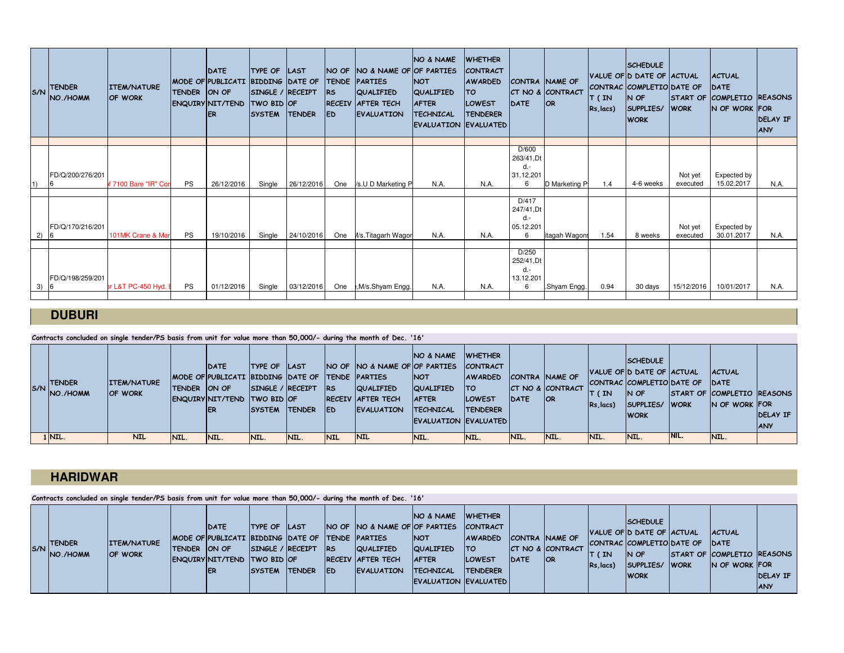| S/N | <b>TENDER</b><br><b>NO./HOMM</b> | <b>ITEM/NATURE</b><br><b>OF WORK</b> | TENDER ON OF | <b>DATE</b><br>IMODE OF PUBLICATI<br><b>ENQUIRY NIT/TEND</b><br>ER | <b>TYPE OF</b><br><b>BIDDING DATE OF</b><br><b>SINGLE / RECEIPT</b><br><b>TWO BID OF</b><br><b>SYSTEM</b> | <b>LAST</b><br><b>TENDER</b> | <b>TENDE</b><br><b>RS</b><br><b>RECEIV</b><br><b>IED</b> | NO OF NO & NAME OF OF PARTIES<br><b>PARTIES</b><br><b>QUALIFIED</b><br><b>AFTER TECH</b><br><b>EVALUATION</b> | <b>NO &amp; NAME</b><br><b>NOT</b><br><b>QUALIFIED</b><br><b>AFTER</b><br><b>TECHNICAL</b><br><b>EVALUATION EVALUATED</b> | <b>WHETHER</b><br><b>CONTRACT</b><br><b>AWARDED</b><br>ITO.<br><b>LOWEST</b><br><b>TENDERER</b> | DATE                | <b>CONTRA INAME OF</b><br><b>CT NO &amp; CONTRACT</b><br> OR | T(N)<br>Rs, lacs) | <b>SCHEDULE</b><br>VALUE OF D DATE OF ACTUAL<br>CONTRAC COMPLETIO DATE OF<br>IN OF<br>SUPPLIES/<br><b>WORK</b> | <b>WORK</b> | <b>ACTUAL</b><br>DATE<br>START OF COMPLETIO REASONS<br>IN OF WORK FOR | <b>DELAY IF</b><br><b>ANY</b> |
|-----|----------------------------------|--------------------------------------|--------------|--------------------------------------------------------------------|-----------------------------------------------------------------------------------------------------------|------------------------------|----------------------------------------------------------|---------------------------------------------------------------------------------------------------------------|---------------------------------------------------------------------------------------------------------------------------|-------------------------------------------------------------------------------------------------|---------------------|--------------------------------------------------------------|-------------------|----------------------------------------------------------------------------------------------------------------|-------------|-----------------------------------------------------------------------|-------------------------------|
|     |                                  |                                      |              |                                                                    |                                                                                                           |                              |                                                          |                                                                                                               |                                                                                                                           |                                                                                                 |                     |                                                              |                   |                                                                                                                |             |                                                                       |                               |
|     |                                  |                                      |              |                                                                    |                                                                                                           |                              |                                                          |                                                                                                               |                                                                                                                           |                                                                                                 | D/600<br>263/41, Dt |                                                              |                   |                                                                                                                |             |                                                                       |                               |
|     |                                  |                                      |              |                                                                    |                                                                                                           |                              |                                                          |                                                                                                               |                                                                                                                           |                                                                                                 | d.-                 |                                                              |                   |                                                                                                                |             |                                                                       |                               |
|     | FD/Q/200/276/201                 |                                      |              |                                                                    |                                                                                                           |                              |                                                          |                                                                                                               |                                                                                                                           |                                                                                                 | 31.12.201           |                                                              |                   |                                                                                                                | Not yet     | Expected by                                                           |                               |
|     |                                  | f 7100 Bare "IR" Con                 | <b>PS</b>    | 26/12/2016                                                         | Single                                                                                                    | 26/12/2016                   | One                                                      | /s.U D Marketing P                                                                                            | N.A.                                                                                                                      | N.A.                                                                                            | 6                   | D Marketing P                                                | 1.4               | 4-6 weeks                                                                                                      | executed    | 15.02.2017                                                            | N.A.                          |
|     |                                  |                                      |              |                                                                    |                                                                                                           |                              |                                                          |                                                                                                               |                                                                                                                           |                                                                                                 |                     |                                                              |                   |                                                                                                                |             |                                                                       |                               |
|     |                                  |                                      |              |                                                                    |                                                                                                           |                              |                                                          |                                                                                                               |                                                                                                                           |                                                                                                 | D/417               |                                                              |                   |                                                                                                                |             |                                                                       |                               |
|     |                                  |                                      |              |                                                                    |                                                                                                           |                              |                                                          |                                                                                                               |                                                                                                                           |                                                                                                 | 247/41, Dt<br>d.-   |                                                              |                   |                                                                                                                |             |                                                                       |                               |
|     | FD/Q/170/216/201                 |                                      |              |                                                                    |                                                                                                           |                              |                                                          |                                                                                                               |                                                                                                                           |                                                                                                 | 05.12.201           |                                                              |                   |                                                                                                                | Not yet     | Expected by                                                           |                               |
| 2)  | 16                               | 101MK Crane & Mar                    | <b>PS</b>    | 19/10/2016                                                         | Single                                                                                                    | 24/10/2016                   | One                                                      | I/s.Titagarh Wagor                                                                                            | N.A.                                                                                                                      | N.A.                                                                                            | 6                   | itagah Wagons                                                | 1.54              | 8 weeks                                                                                                        | executed    | 30.01.2017                                                            | N.A.                          |
|     |                                  |                                      |              |                                                                    |                                                                                                           |                              |                                                          |                                                                                                               |                                                                                                                           |                                                                                                 |                     |                                                              |                   |                                                                                                                |             |                                                                       |                               |
|     |                                  |                                      |              |                                                                    |                                                                                                           |                              |                                                          |                                                                                                               |                                                                                                                           |                                                                                                 | D/250               |                                                              |                   |                                                                                                                |             |                                                                       |                               |
|     |                                  |                                      |              |                                                                    |                                                                                                           |                              |                                                          |                                                                                                               |                                                                                                                           |                                                                                                 | 252/41, Dt<br>d.-   |                                                              |                   |                                                                                                                |             |                                                                       |                               |
|     | FD/Q/198/259/201                 |                                      |              |                                                                    |                                                                                                           |                              |                                                          |                                                                                                               |                                                                                                                           |                                                                                                 | 13.12.201           |                                                              |                   |                                                                                                                |             |                                                                       |                               |
| 3)  | 16                               | r L&T PC-450 Hyd.                    | <b>PS</b>    | 01/12/2016                                                         | Single                                                                                                    | 03/12/2016                   | One                                                      | M/s.Shyam Engg.                                                                                               | N.A.                                                                                                                      | N.A.                                                                                            | 6                   | .Shyam Engg.                                                 | 0.94              | 30 days                                                                                                        | 15/12/2016  | 10/01/2017                                                            | N.A.                          |
|     |                                  |                                      |              |                                                                    |                                                                                                           |                              |                                                          |                                                                                                               |                                                                                                                           |                                                                                                 |                     |                                                              |                   |                                                                                                                |             |                                                                       |                               |

### **DUBURI**

**Contracts concluded on single tender/PS basis from unit for value more than 50,000/- during the month of Dec. '16'**

| S/N | <b>TENDER</b><br>INO./HOMM | <b>ITEM/NATURE</b><br><b>OF WORK</b> | TENDER ON OF | <b>IDATE</b><br>IMODE OF PUBLICATI IBIDDING IDATE OF<br><b>ENQUIRY NIT/TEND TWO BID OF</b><br>ER. | <b>TYPE OF LAST</b><br>SINGLE / RECEIPT<br><b>ISYSTEM</b> | <b>ITENDER</b> | <b>IRS</b><br><b>IED</b> | NO OF INO & NAME OF OF PARTIES<br><b>TENDE PARTIES</b><br><b>QUALIFIED</b><br><b>RECEIV AFTER TECH</b><br><b>IEVALUATION</b> | NO & NAME<br><b>INOT</b><br><b>QUALIFIED</b><br><b>AFTER</b><br><b>TECHNICAL</b><br><b>EVALUATION EVALUATED</b> | <b>WHETHER</b><br><b>CONTRACT</b><br><b>AWARDED</b><br><b>ITO</b><br><b>LOWEST</b><br><b>TENDERER</b> | <b>DATE</b> | CONTRA NAME OF<br>ICT NO & CONTRACT<br><b>IOR</b> | (IN)<br>Rs, lacs) | <b>SCHEDULE</b><br>VALUE OFID DATE OF ACTUAL<br>CONTRAC COMPLETIO DATE OF DATE<br>IN OF<br>SUPPLIES/<br><b>WORK</b> | <b>WORK</b> | <b>ACTUAL</b><br><b>START OF COMPLETIO REASONS</b><br>IN OF WORK FOR | DELAY IF<br><b>ANY</b> |
|-----|----------------------------|--------------------------------------|--------------|---------------------------------------------------------------------------------------------------|-----------------------------------------------------------|----------------|--------------------------|------------------------------------------------------------------------------------------------------------------------------|-----------------------------------------------------------------------------------------------------------------|-------------------------------------------------------------------------------------------------------|-------------|---------------------------------------------------|-------------------|---------------------------------------------------------------------------------------------------------------------|-------------|----------------------------------------------------------------------|------------------------|
|     | 1 NIL.                     | <b>NIL</b>                           | NIL.         | NIL.                                                                                              | INIL.                                                     | NIL.           | <b>NIL</b>               | <b>NIL</b>                                                                                                                   | NIL.                                                                                                            | NIL.                                                                                                  | NIL.        | NIL.                                              | NIL.              | <b>NIL</b>                                                                                                          | NIL.        | NIL.                                                                 |                        |

#### **HARIDWAR**

|                 |                    |                     |                                                 |                      |               |                      |                                         | <b>NO &amp; NAME</b>        | <b>IWHETHER</b> |             |                        |           | <b>SCHEDULE</b>                  |                                      |                  |
|-----------------|--------------------|---------------------|-------------------------------------------------|----------------------|---------------|----------------------|-----------------------------------------|-----------------------------|-----------------|-------------|------------------------|-----------|----------------------------------|--------------------------------------|------------------|
|                 |                    |                     | <b>IDATE</b>                                    | <b>ITYPE OF LAST</b> |               |                      | NO OF INO & NAME OF OF PARTIES CONTRACT |                             |                 |             |                        |           |                                  |                                      |                  |
|                 |                    |                     | MODE OF PUBLICATI BIDDING DATE OF TENDE PARTIES |                      |               |                      |                                         | <b>INOT</b>                 | <b>AWARDED</b>  |             | <b>CONTRA INAME OF</b> |           | <b>VALUE OFID DATE OF ACTUAL</b> | <b>ACTUAL</b>                        |                  |
| JN TENDER       | <b>ITEM/NATURE</b> |                     |                                                 |                      |               |                      |                                         |                             |                 |             |                        |           | CONTRAC COMPLETIO DATE OF        | <b>IDATE</b>                         |                  |
| <b>NO./HOMM</b> | <b>OF WORK</b>     | <b>TENDER ON OF</b> |                                                 | SINGLE / RECEIPT     |               | <b>R<sub>S</sub></b> | <b>OUALIFIED</b>                        | <b>QUALIFIED</b>            | <b>ITO</b>      |             | ICT NO & CONTRACT      | T ( IN    | IN OF                            | <b>ISTART OF ICOMPLETIO IREASONS</b> |                  |
|                 |                    |                     | <b>ENQUIRY NIT/TEND TWO BID OF</b>              |                      |               |                      | <b>RECEIV AFTER TECH</b>                | <b>AFTER</b>                | <b>LOWEST</b>   | <b>DATE</b> | OR                     |           |                                  |                                      |                  |
|                 |                    |                     |                                                 | <b>ISYSTEM</b>       | <b>TENDER</b> | <b>IED</b>           | <b>IEVALUATION</b>                      | <b>TECHNICAL</b>            | <b>TENDERER</b> |             |                        | Rs, lacs) | SUPPLIES/ WORK                   | IN OF WORK FOR                       |                  |
|                 |                    |                     | <b>IER</b>                                      |                      |               |                      |                                         |                             |                 |             |                        |           | <b>WORK</b>                      |                                      | <b>IDELAY IF</b> |
|                 |                    |                     |                                                 |                      |               |                      |                                         | <b>EVALUATION EVALUATED</b> |                 |             |                        |           |                                  |                                      |                  |
|                 |                    |                     |                                                 |                      |               |                      |                                         |                             |                 |             |                        |           |                                  |                                      | <b>ANY</b>       |